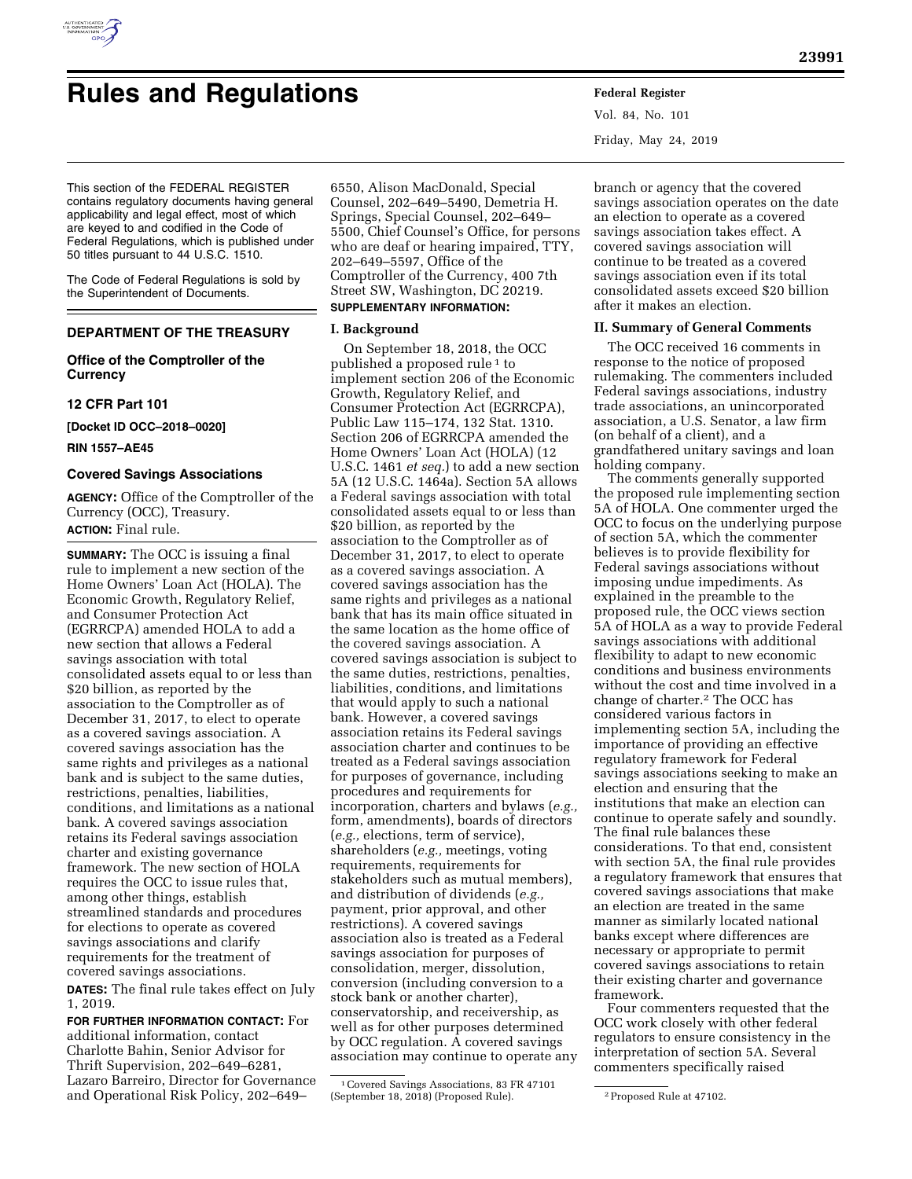

# **Rules and Regulations Federal Register**

This section of the FEDERAL REGISTER contains regulatory documents having general applicability and legal effect, most of which are keyed to and codified in the Code of Federal Regulations, which is published under 50 titles pursuant to 44 U.S.C. 1510.

The Code of Federal Regulations is sold by the Superintendent of Documents.

# **DEPARTMENT OF THE TREASURY**

# **Office of the Comptroller of the Currency**

# **12 CFR Part 101**

**[Docket ID OCC–2018–0020]** 

**RIN 1557–AE45** 

# **Covered Savings Associations**

**AGENCY:** Office of the Comptroller of the Currency (OCC), Treasury. **ACTION:** Final rule.

**SUMMARY:** The OCC is issuing a final rule to implement a new section of the Home Owners' Loan Act (HOLA). The Economic Growth, Regulatory Relief, and Consumer Protection Act (EGRRCPA) amended HOLA to add a new section that allows a Federal savings association with total consolidated assets equal to or less than \$20 billion, as reported by the association to the Comptroller as of December 31, 2017, to elect to operate as a covered savings association. A covered savings association has the same rights and privileges as a national bank and is subject to the same duties, restrictions, penalties, liabilities, conditions, and limitations as a national bank. A covered savings association retains its Federal savings association charter and existing governance framework. The new section of HOLA requires the OCC to issue rules that, among other things, establish streamlined standards and procedures for elections to operate as covered savings associations and clarify requirements for the treatment of covered savings associations.

**DATES:** The final rule takes effect on July 1, 2019.

**FOR FURTHER INFORMATION CONTACT:** For additional information, contact Charlotte Bahin, Senior Advisor for Thrift Supervision, 202–649–6281, Lazaro Barreiro, Director for Governance and Operational Risk Policy, 202–649–

6550, Alison MacDonald, Special Counsel, 202–649–5490, Demetria H. Springs, Special Counsel, 202–649– 5500, Chief Counsel's Office, for persons who are deaf or hearing impaired, TTY, 202–649–5597, Office of the Comptroller of the Currency, 400 7th Street SW, Washington, DC 20219. **SUPPLEMENTARY INFORMATION:** 

# **I. Background**

On September 18, 2018, the OCC published a proposed rule 1 to implement section 206 of the Economic Growth, Regulatory Relief, and Consumer Protection Act (EGRRCPA), Public Law 115–174, 132 Stat. 1310. Section 206 of EGRRCPA amended the Home Owners' Loan Act (HOLA) (12 U.S.C. 1461 *et seq.*) to add a new section 5A (12 U.S.C. 1464a). Section 5A allows a Federal savings association with total consolidated assets equal to or less than \$20 billion, as reported by the association to the Comptroller as of December 31, 2017, to elect to operate as a covered savings association. A covered savings association has the same rights and privileges as a national bank that has its main office situated in the same location as the home office of the covered savings association. A covered savings association is subject to the same duties, restrictions, penalties, liabilities, conditions, and limitations that would apply to such a national bank. However, a covered savings association retains its Federal savings association charter and continues to be treated as a Federal savings association for purposes of governance, including procedures and requirements for incorporation, charters and bylaws (*e.g.,*  form, amendments), boards of directors (*e.g.,* elections, term of service), shareholders (*e.g.,* meetings, voting requirements, requirements for stakeholders such as mutual members), and distribution of dividends (*e.g.,*  payment, prior approval, and other restrictions). A covered savings association also is treated as a Federal savings association for purposes of consolidation, merger, dissolution, conversion (including conversion to a stock bank or another charter), conservatorship, and receivership, as well as for other purposes determined by OCC regulation. A covered savings association may continue to operate any

Vol. 84, No. 101 Friday, May 24, 2019

branch or agency that the covered savings association operates on the date an election to operate as a covered savings association takes effect. A covered savings association will continue to be treated as a covered savings association even if its total consolidated assets exceed \$20 billion after it makes an election.

#### **II. Summary of General Comments**

The OCC received 16 comments in response to the notice of proposed rulemaking. The commenters included Federal savings associations, industry trade associations, an unincorporated association, a U.S. Senator, a law firm (on behalf of a client), and a grandfathered unitary savings and loan holding company.

The comments generally supported the proposed rule implementing section 5A of HOLA. One commenter urged the OCC to focus on the underlying purpose of section 5A, which the commenter believes is to provide flexibility for Federal savings associations without imposing undue impediments. As explained in the preamble to the proposed rule, the OCC views section 5A of HOLA as a way to provide Federal savings associations with additional flexibility to adapt to new economic conditions and business environments without the cost and time involved in a change of charter.2 The OCC has considered various factors in implementing section 5A, including the importance of providing an effective regulatory framework for Federal savings associations seeking to make an election and ensuring that the institutions that make an election can continue to operate safely and soundly. The final rule balances these considerations. To that end, consistent with section 5A, the final rule provides a regulatory framework that ensures that covered savings associations that make an election are treated in the same manner as similarly located national banks except where differences are necessary or appropriate to permit covered savings associations to retain their existing charter and governance framework.

Four commenters requested that the OCC work closely with other federal regulators to ensure consistency in the interpretation of section 5A. Several commenters specifically raised

<sup>1</sup>Covered Savings Associations, 83 FR 47101 (September 18, 2018) (Proposed Rule). 2Proposed Rule at 47102.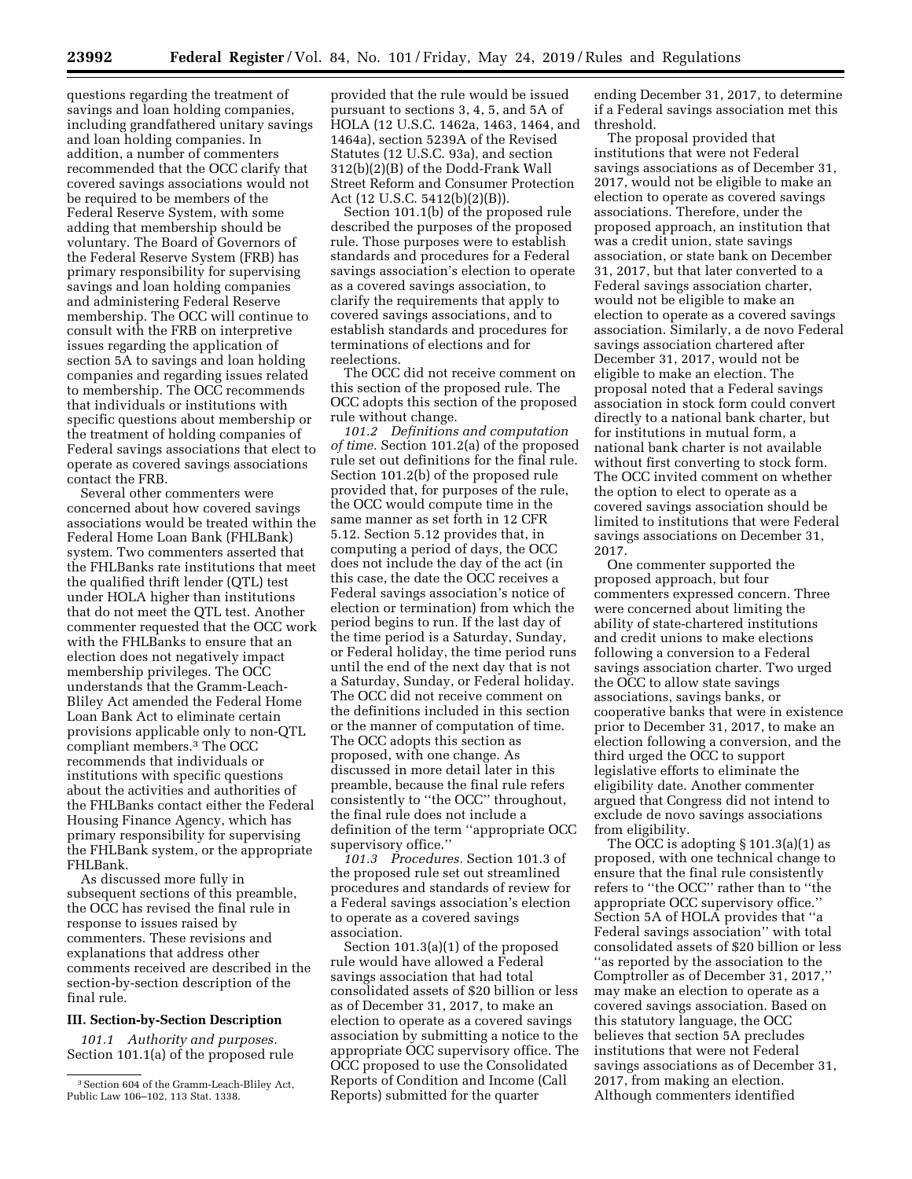questions regarding the treatment of savings and loan holding companies, including grandfathered unitary savings and loan holding companies. In addition, a number of commenters recommended that the OCC clarify that covered savings associations would not be required to be members of the Federal Reserve System, with some adding that membership should be voluntary. The Board of Governors of the Federal Reserve System (FRB) has primary responsibility for supervising savings and loan holding companies and administering Federal Reserve membership. The OCC will continue to consult with the FRB on interpretive issues regarding the application of section 5A to savings and loan holding companies and regarding issues related to membership. The OCC recommends that individuals or institutions with specific questions about membership or the treatment of holding companies of Federal savings associations that elect to operate as covered savings associations contact the FRB.

Several other commenters were concerned about how covered savings associations would be treated within the Federal Home Loan Bank (FHLBank) system. Two commenters asserted that the FHLBanks rate institutions that meet the qualified thrift lender (QTL) test under HOLA higher than institutions that do not meet the QTL test. Another commenter requested that the OCC work with the FHLBanks to ensure that an election does not negatively impact membership privileges. The OCC understands that the Gramm-Leach-Bliley Act amended the Federal Home Loan Bank Act to eliminate certain provisions applicable only to non-QTL compliant members.3 The OCC recommends that individuals or institutions with specific questions about the activities and authorities of the FHLBanks contact either the Federal Housing Finance Agency, which has primary responsibility for supervising the FHLBank system, or the appropriate FHLBank.

As discussed more fully in subsequent sections of this preamble, the OCC has revised the final rule in response to issues raised by commenters. These revisions and explanations that address other comments received are described in the section-by-section description of the final rule.

# **III. Section-by-Section Description**

*101.1 Authority and purposes.*  Section 101.1(a) of the proposed rule provided that the rule would be issued pursuant to sections 3, 4, 5, and 5A of HOLA (12 U.S.C. 1462a, 1463, 1464, and 1464a), section 5239A of the Revised Statutes (12 U.S.C. 93a), and section 312(b)(2)(B) of the Dodd-Frank Wall Street Reform and Consumer Protection Act (12 U.S.C. 5412(b)(2)(B)).

Section 101.1(b) of the proposed rule described the purposes of the proposed rule. Those purposes were to establish standards and procedures for a Federal savings association's election to operate as a covered savings association, to clarify the requirements that apply to covered savings associations, and to establish standards and procedures for terminations of elections and for reelections.

The OCC did not receive comment on this section of the proposed rule. The OCC adopts this section of the proposed rule without change.

*101.2 Definitions and computation of time.* Section 101.2(a) of the proposed rule set out definitions for the final rule. Section 101.2(b) of the proposed rule provided that, for purposes of the rule, the OCC would compute time in the same manner as set forth in 12 CFR 5.12. Section 5.12 provides that, in computing a period of days, the OCC does not include the day of the act (in this case, the date the OCC receives a Federal savings association's notice of election or termination) from which the period begins to run. If the last day of the time period is a Saturday, Sunday, or Federal holiday, the time period runs until the end of the next day that is not a Saturday, Sunday, or Federal holiday. The OCC did not receive comment on the definitions included in this section or the manner of computation of time. The OCC adopts this section as proposed, with one change. As discussed in more detail later in this preamble, because the final rule refers consistently to ''the OCC'' throughout, the final rule does not include a definition of the term ''appropriate OCC supervisory office.''

*101.3 Procedures.* Section 101.3 of the proposed rule set out streamlined procedures and standards of review for a Federal savings association's election to operate as a covered savings association.

Section 101.3(a)(1) of the proposed rule would have allowed a Federal savings association that had total consolidated assets of \$20 billion or less as of December 31, 2017, to make an election to operate as a covered savings association by submitting a notice to the appropriate OCC supervisory office. The OCC proposed to use the Consolidated Reports of Condition and Income (Call Reports) submitted for the quarter

ending December 31, 2017, to determine if a Federal savings association met this threshold.

The proposal provided that institutions that were not Federal savings associations as of December 31, 2017, would not be eligible to make an election to operate as covered savings associations. Therefore, under the proposed approach, an institution that was a credit union, state savings association, or state bank on December 31, 2017, but that later converted to a Federal savings association charter, would not be eligible to make an election to operate as a covered savings association. Similarly, a de novo Federal savings association chartered after December 31, 2017, would not be eligible to make an election. The proposal noted that a Federal savings association in stock form could convert directly to a national bank charter, but for institutions in mutual form, a national bank charter is not available without first converting to stock form. The OCC invited comment on whether the option to elect to operate as a covered savings association should be limited to institutions that were Federal savings associations on December 31, 2017.

One commenter supported the proposed approach, but four commenters expressed concern. Three were concerned about limiting the ability of state-chartered institutions and credit unions to make elections following a conversion to a Federal savings association charter. Two urged the OCC to allow state savings associations, savings banks, or cooperative banks that were in existence prior to December 31, 2017, to make an election following a conversion, and the third urged the OCC to support legislative efforts to eliminate the eligibility date. Another commenter argued that Congress did not intend to exclude de novo savings associations from eligibility.

The OCC is adopting § 101.3(a)(1) as proposed, with one technical change to ensure that the final rule consistently refers to ''the OCC'' rather than to ''the appropriate OCC supervisory office.'' Section 5A of HOLA provides that ''a Federal savings association'' with total consolidated assets of \$20 billion or less ''as reported by the association to the Comptroller as of December 31, 2017,'' may make an election to operate as a covered savings association. Based on this statutory language, the OCC believes that section 5A precludes institutions that were not Federal savings associations as of December 31, 2017, from making an election. Although commenters identified

<sup>&</sup>lt;sup>3</sup> Section 604 of the Gramm-Leach-Bliley Act, Public Law 106–102, 113 Stat. 1338.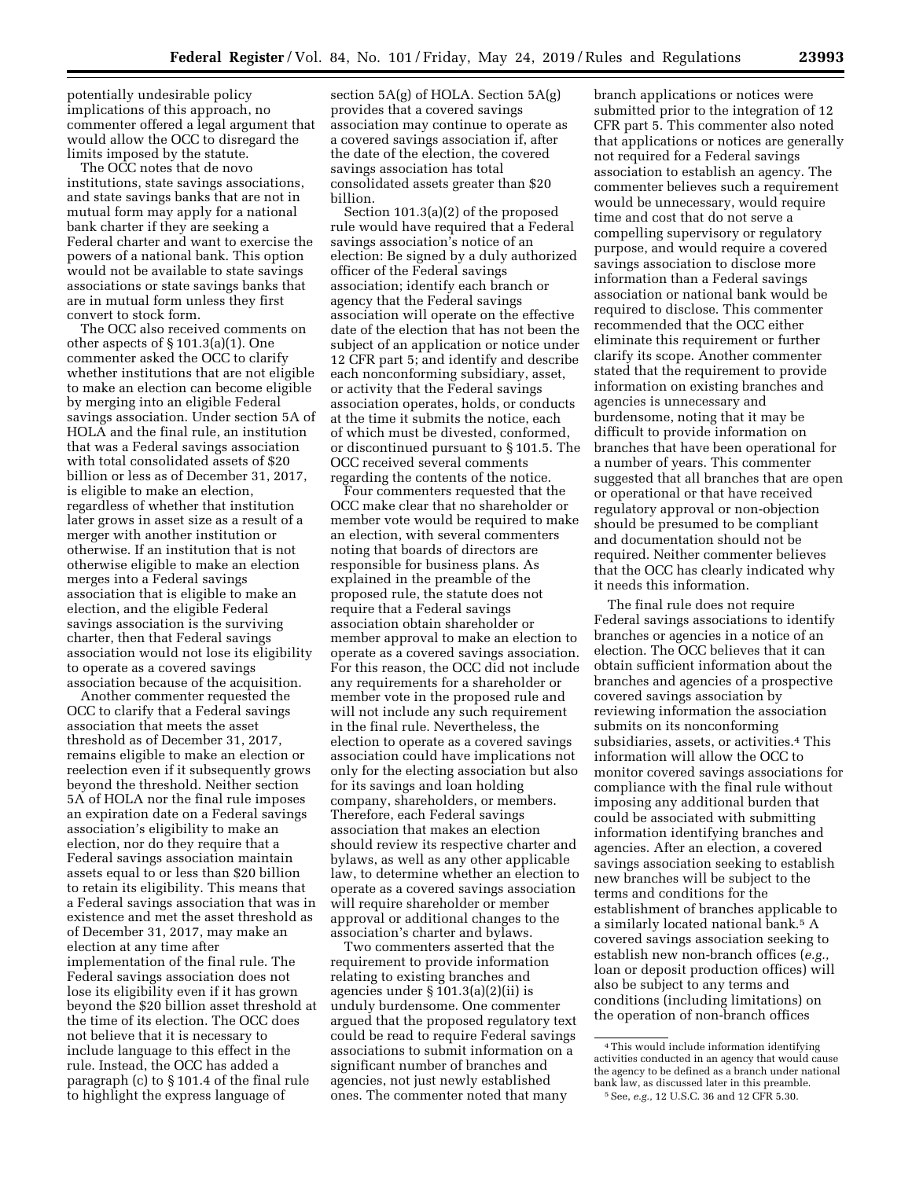potentially undesirable policy implications of this approach, no commenter offered a legal argument that would allow the OCC to disregard the limits imposed by the statute.

The OCC notes that de novo institutions, state savings associations, and state savings banks that are not in mutual form may apply for a national bank charter if they are seeking a Federal charter and want to exercise the powers of a national bank. This option would not be available to state savings associations or state savings banks that are in mutual form unless they first convert to stock form.

The OCC also received comments on other aspects of § 101.3(a)(1). One commenter asked the OCC to clarify whether institutions that are not eligible to make an election can become eligible by merging into an eligible Federal savings association. Under section 5A of HOLA and the final rule, an institution that was a Federal savings association with total consolidated assets of \$20 billion or less as of December 31, 2017, is eligible to make an election, regardless of whether that institution later grows in asset size as a result of a merger with another institution or otherwise. If an institution that is not otherwise eligible to make an election merges into a Federal savings association that is eligible to make an election, and the eligible Federal savings association is the surviving charter, then that Federal savings association would not lose its eligibility to operate as a covered savings association because of the acquisition.

Another commenter requested the OCC to clarify that a Federal savings association that meets the asset threshold as of December 31, 2017, remains eligible to make an election or reelection even if it subsequently grows beyond the threshold. Neither section 5A of HOLA nor the final rule imposes an expiration date on a Federal savings association's eligibility to make an election, nor do they require that a Federal savings association maintain assets equal to or less than \$20 billion to retain its eligibility. This means that a Federal savings association that was in existence and met the asset threshold as of December 31, 2017, may make an election at any time after implementation of the final rule. The Federal savings association does not lose its eligibility even if it has grown beyond the \$20 billion asset threshold at the time of its election. The OCC does not believe that it is necessary to include language to this effect in the rule. Instead, the OCC has added a paragraph (c) to § 101.4 of the final rule to highlight the express language of

section 5A(g) of HOLA. Section 5A(g) provides that a covered savings association may continue to operate as a covered savings association if, after the date of the election, the covered savings association has total consolidated assets greater than \$20 billion.

Section 101.3(a)(2) of the proposed rule would have required that a Federal savings association's notice of an election: Be signed by a duly authorized officer of the Federal savings association; identify each branch or agency that the Federal savings association will operate on the effective date of the election that has not been the subject of an application or notice under 12 CFR part 5; and identify and describe each nonconforming subsidiary, asset, or activity that the Federal savings association operates, holds, or conducts at the time it submits the notice, each of which must be divested, conformed, or discontinued pursuant to § 101.5. The OCC received several comments regarding the contents of the notice.

Four commenters requested that the OCC make clear that no shareholder or member vote would be required to make an election, with several commenters noting that boards of directors are responsible for business plans. As explained in the preamble of the proposed rule, the statute does not require that a Federal savings association obtain shareholder or member approval to make an election to operate as a covered savings association. For this reason, the OCC did not include any requirements for a shareholder or member vote in the proposed rule and will not include any such requirement in the final rule. Nevertheless, the election to operate as a covered savings association could have implications not only for the electing association but also for its savings and loan holding company, shareholders, or members. Therefore, each Federal savings association that makes an election should review its respective charter and bylaws, as well as any other applicable law, to determine whether an election to operate as a covered savings association will require shareholder or member approval or additional changes to the association's charter and bylaws.

Two commenters asserted that the requirement to provide information relating to existing branches and agencies under § 101.3(a)(2)(ii) is unduly burdensome. One commenter argued that the proposed regulatory text could be read to require Federal savings associations to submit information on a significant number of branches and agencies, not just newly established ones. The commenter noted that many

branch applications or notices were submitted prior to the integration of 12 CFR part 5. This commenter also noted that applications or notices are generally not required for a Federal savings association to establish an agency. The commenter believes such a requirement would be unnecessary, would require time and cost that do not serve a compelling supervisory or regulatory purpose, and would require a covered savings association to disclose more information than a Federal savings association or national bank would be required to disclose. This commenter recommended that the OCC either eliminate this requirement or further clarify its scope. Another commenter stated that the requirement to provide information on existing branches and agencies is unnecessary and burdensome, noting that it may be difficult to provide information on branches that have been operational for a number of years. This commenter suggested that all branches that are open or operational or that have received regulatory approval or non-objection should be presumed to be compliant and documentation should not be required. Neither commenter believes that the OCC has clearly indicated why it needs this information.

The final rule does not require Federal savings associations to identify branches or agencies in a notice of an election. The OCC believes that it can obtain sufficient information about the branches and agencies of a prospective covered savings association by reviewing information the association submits on its nonconforming subsidiaries, assets, or activities.<sup>4</sup> This information will allow the OCC to monitor covered savings associations for compliance with the final rule without imposing any additional burden that could be associated with submitting information identifying branches and agencies. After an election, a covered savings association seeking to establish new branches will be subject to the terms and conditions for the establishment of branches applicable to a similarly located national bank.5 A covered savings association seeking to establish new non-branch offices (*e.g.,*  loan or deposit production offices) will also be subject to any terms and conditions (including limitations) on the operation of non-branch offices

<sup>4</sup>This would include information identifying activities conducted in an agency that would cause the agency to be defined as a branch under national bank law, as discussed later in this preamble. 5See, *e.g.,* 12 U.S.C. 36 and 12 CFR 5.30.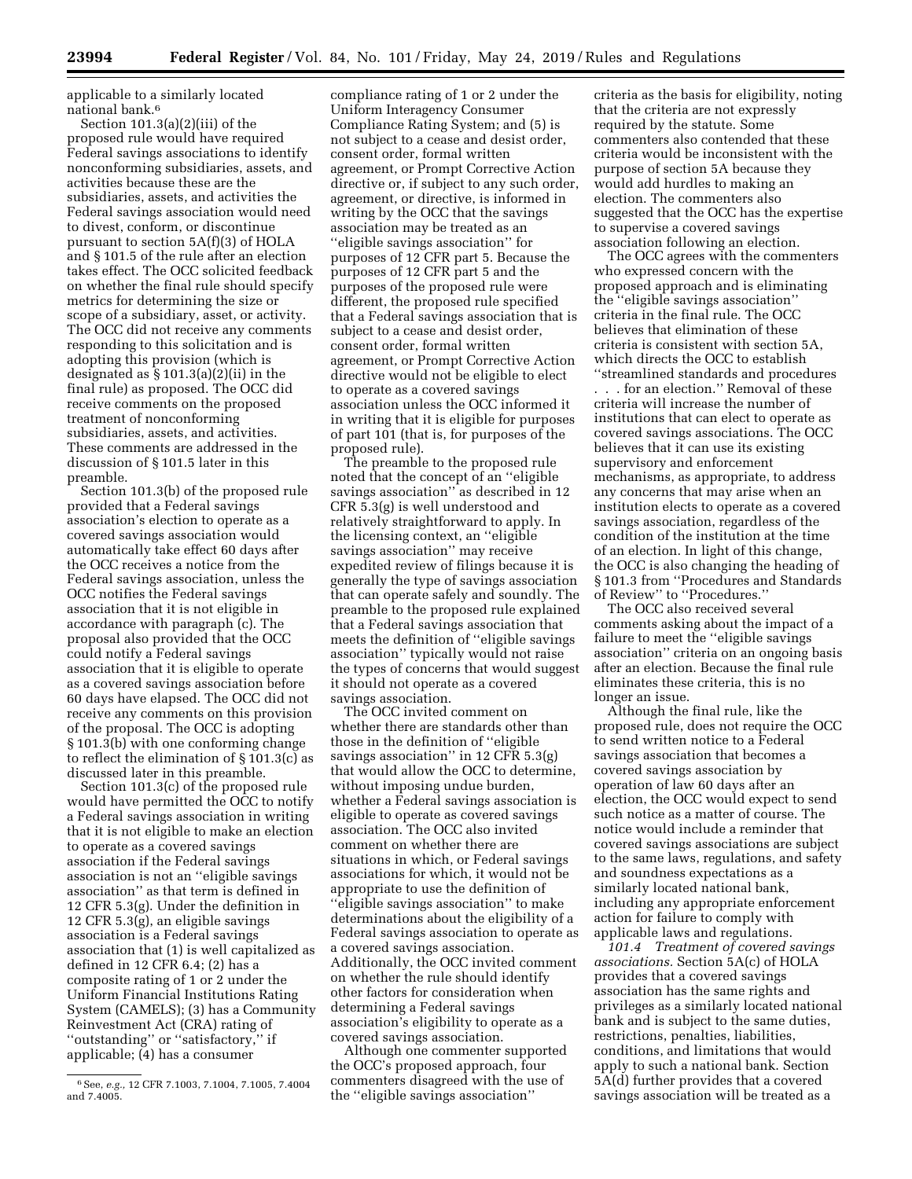applicable to a similarly located national bank.6

Section 101.3(a)(2)(iii) of the proposed rule would have required Federal savings associations to identify nonconforming subsidiaries, assets, and activities because these are the subsidiaries, assets, and activities the Federal savings association would need to divest, conform, or discontinue pursuant to section 5A(f)(3) of HOLA and § 101.5 of the rule after an election takes effect. The OCC solicited feedback on whether the final rule should specify metrics for determining the size or scope of a subsidiary, asset, or activity. The OCC did not receive any comments responding to this solicitation and is adopting this provision (which is designated as  $\S 101.3(a)(2)(ii)$  in the final rule) as proposed. The OCC did receive comments on the proposed treatment of nonconforming subsidiaries, assets, and activities. These comments are addressed in the discussion of § 101.5 later in this preamble.

Section 101.3(b) of the proposed rule provided that a Federal savings association's election to operate as a covered savings association would automatically take effect 60 days after the OCC receives a notice from the Federal savings association, unless the OCC notifies the Federal savings association that it is not eligible in accordance with paragraph (c). The proposal also provided that the OCC could notify a Federal savings association that it is eligible to operate as a covered savings association before 60 days have elapsed. The OCC did not receive any comments on this provision of the proposal. The OCC is adopting § 101.3(b) with one conforming change to reflect the elimination of § 101.3(c) as discussed later in this preamble.

Section 101.3(c) of the proposed rule would have permitted the OCC to notify a Federal savings association in writing that it is not eligible to make an election to operate as a covered savings association if the Federal savings association is not an ''eligible savings association'' as that term is defined in 12 CFR 5.3(g). Under the definition in 12 CFR 5.3(g), an eligible savings association is a Federal savings association that (1) is well capitalized as defined in 12 CFR 6.4; (2) has a composite rating of 1 or 2 under the Uniform Financial Institutions Rating System (CAMELS); (3) has a Community Reinvestment Act (CRA) rating of ''outstanding'' or ''satisfactory,'' if applicable; (4) has a consumer

compliance rating of 1 or 2 under the Uniform Interagency Consumer Compliance Rating System; and (5) is not subject to a cease and desist order, consent order, formal written agreement, or Prompt Corrective Action directive or, if subject to any such order, agreement, or directive, is informed in writing by the OCC that the savings association may be treated as an ''eligible savings association'' for purposes of 12 CFR part 5. Because the purposes of 12 CFR part 5 and the purposes of the proposed rule were different, the proposed rule specified that a Federal savings association that is subject to a cease and desist order, consent order, formal written agreement, or Prompt Corrective Action directive would not be eligible to elect to operate as a covered savings association unless the OCC informed it in writing that it is eligible for purposes of part 101 (that is, for purposes of the proposed rule).

The preamble to the proposed rule noted that the concept of an ''eligible savings association'' as described in 12 CFR 5.3(g) is well understood and relatively straightforward to apply. In the licensing context, an ''eligible savings association'' may receive expedited review of filings because it is generally the type of savings association that can operate safely and soundly. The preamble to the proposed rule explained that a Federal savings association that meets the definition of ''eligible savings association'' typically would not raise the types of concerns that would suggest it should not operate as a covered savings association.

The OCC invited comment on whether there are standards other than those in the definition of ''eligible savings association'' in 12 CFR 5.3(g) that would allow the OCC to determine, without imposing undue burden, whether a Federal savings association is eligible to operate as covered savings association. The OCC also invited comment on whether there are situations in which, or Federal savings associations for which, it would not be appropriate to use the definition of ''eligible savings association'' to make determinations about the eligibility of a Federal savings association to operate as a covered savings association. Additionally, the OCC invited comment on whether the rule should identify other factors for consideration when determining a Federal savings association's eligibility to operate as a covered savings association.

Although one commenter supported the OCC's proposed approach, four commenters disagreed with the use of the ''eligible savings association''

criteria as the basis for eligibility, noting that the criteria are not expressly required by the statute. Some commenters also contended that these criteria would be inconsistent with the purpose of section 5A because they would add hurdles to making an election. The commenters also suggested that the OCC has the expertise to supervise a covered savings association following an election.

The OCC agrees with the commenters who expressed concern with the proposed approach and is eliminating the ''eligible savings association'' criteria in the final rule. The OCC believes that elimination of these criteria is consistent with section 5A, which directs the OCC to establish ''streamlined standards and procedures

. . . for an election.'' Removal of these criteria will increase the number of institutions that can elect to operate as covered savings associations. The OCC believes that it can use its existing supervisory and enforcement mechanisms, as appropriate, to address any concerns that may arise when an institution elects to operate as a covered savings association, regardless of the condition of the institution at the time of an election. In light of this change, the OCC is also changing the heading of § 101.3 from ''Procedures and Standards of Review'' to ''Procedures.''

The OCC also received several comments asking about the impact of a failure to meet the ''eligible savings association'' criteria on an ongoing basis after an election. Because the final rule eliminates these criteria, this is no longer an issue.

Although the final rule, like the proposed rule, does not require the OCC to send written notice to a Federal savings association that becomes a covered savings association by operation of law 60 days after an election, the OCC would expect to send such notice as a matter of course. The notice would include a reminder that covered savings associations are subject to the same laws, regulations, and safety and soundness expectations as a similarly located national bank, including any appropriate enforcement action for failure to comply with applicable laws and regulations.

*101.4 Treatment of covered savings associations.* Section 5A(c) of HOLA provides that a covered savings association has the same rights and privileges as a similarly located national bank and is subject to the same duties, restrictions, penalties, liabilities, conditions, and limitations that would apply to such a national bank. Section 5A(d) further provides that a covered savings association will be treated as a

<sup>6</sup>See, *e.g.,* 12 CFR 7.1003, 7.1004, 7.1005, 7.4004 and 7.4005.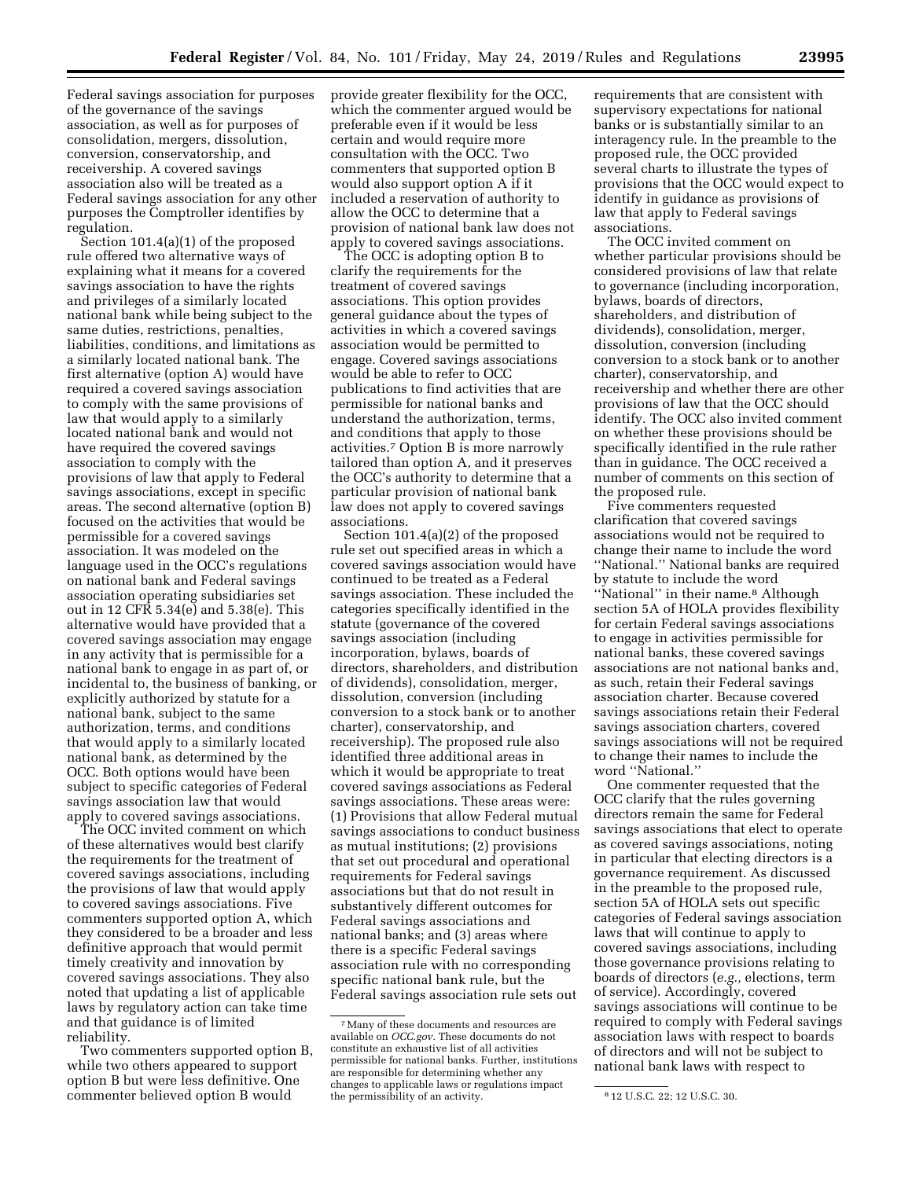Federal savings association for purposes of the governance of the savings association, as well as for purposes of consolidation, mergers, dissolution, conversion, conservatorship, and receivership. A covered savings association also will be treated as a Federal savings association for any other purposes the Comptroller identifies by regulation.

Section 101.4(a)(1) of the proposed rule offered two alternative ways of explaining what it means for a covered savings association to have the rights and privileges of a similarly located national bank while being subject to the same duties, restrictions, penalties, liabilities, conditions, and limitations as a similarly located national bank. The first alternative (option A) would have required a covered savings association to comply with the same provisions of law that would apply to a similarly located national bank and would not have required the covered savings association to comply with the provisions of law that apply to Federal savings associations, except in specific areas. The second alternative (option B) focused on the activities that would be permissible for a covered savings association. It was modeled on the language used in the OCC's regulations on national bank and Federal savings association operating subsidiaries set out in 12 CFR 5.34(e) and 5.38(e). This alternative would have provided that a covered savings association may engage in any activity that is permissible for a national bank to engage in as part of, or incidental to, the business of banking, or explicitly authorized by statute for a national bank, subject to the same authorization, terms, and conditions that would apply to a similarly located national bank, as determined by the OCC. Both options would have been subject to specific categories of Federal savings association law that would apply to covered savings associations.

The OCC invited comment on which of these alternatives would best clarify the requirements for the treatment of covered savings associations, including the provisions of law that would apply to covered savings associations. Five commenters supported option A, which they considered to be a broader and less definitive approach that would permit timely creativity and innovation by covered savings associations. They also noted that updating a list of applicable laws by regulatory action can take time and that guidance is of limited reliability.

Two commenters supported option B, while two others appeared to support option B but were less definitive. One commenter believed option B would

provide greater flexibility for the OCC, which the commenter argued would be preferable even if it would be less certain and would require more consultation with the OCC. Two commenters that supported option B would also support option A if it included a reservation of authority to allow the OCC to determine that a provision of national bank law does not apply to covered savings associations.

The OCC is adopting option B to clarify the requirements for the treatment of covered savings associations. This option provides general guidance about the types of activities in which a covered savings association would be permitted to engage. Covered savings associations would be able to refer to OCC publications to find activities that are permissible for national banks and understand the authorization, terms, and conditions that apply to those activities.7 Option B is more narrowly tailored than option A, and it preserves the OCC's authority to determine that a particular provision of national bank law does not apply to covered savings associations.

Section 101.4(a)(2) of the proposed rule set out specified areas in which a covered savings association would have continued to be treated as a Federal savings association. These included the categories specifically identified in the statute (governance of the covered savings association (including incorporation, bylaws, boards of directors, shareholders, and distribution of dividends), consolidation, merger, dissolution, conversion (including conversion to a stock bank or to another charter), conservatorship, and receivership). The proposed rule also identified three additional areas in which it would be appropriate to treat covered savings associations as Federal savings associations. These areas were: (1) Provisions that allow Federal mutual savings associations to conduct business as mutual institutions; (2) provisions that set out procedural and operational requirements for Federal savings associations but that do not result in substantively different outcomes for Federal savings associations and national banks; and (3) areas where there is a specific Federal savings association rule with no corresponding specific national bank rule, but the Federal savings association rule sets out

requirements that are consistent with supervisory expectations for national banks or is substantially similar to an interagency rule. In the preamble to the proposed rule, the OCC provided several charts to illustrate the types of provisions that the OCC would expect to identify in guidance as provisions of law that apply to Federal savings associations.

The OCC invited comment on whether particular provisions should be considered provisions of law that relate to governance (including incorporation, bylaws, boards of directors, shareholders, and distribution of dividends), consolidation, merger, dissolution, conversion (including conversion to a stock bank or to another charter), conservatorship, and receivership and whether there are other provisions of law that the OCC should identify. The OCC also invited comment on whether these provisions should be specifically identified in the rule rather than in guidance. The OCC received a number of comments on this section of the proposed rule.

Five commenters requested clarification that covered savings associations would not be required to change their name to include the word ''National.'' National banks are required by statute to include the word "National" in their name.<sup>8</sup> Although section 5A of HOLA provides flexibility for certain Federal savings associations to engage in activities permissible for national banks, these covered savings associations are not national banks and, as such, retain their Federal savings association charter. Because covered savings associations retain their Federal savings association charters, covered savings associations will not be required to change their names to include the word ''National.''

One commenter requested that the OCC clarify that the rules governing directors remain the same for Federal savings associations that elect to operate as covered savings associations, noting in particular that electing directors is a governance requirement. As discussed in the preamble to the proposed rule, section 5A of HOLA sets out specific categories of Federal savings association laws that will continue to apply to covered savings associations, including those governance provisions relating to boards of directors (*e.g.,* elections, term of service). Accordingly, covered savings associations will continue to be required to comply with Federal savings association laws with respect to boards of directors and will not be subject to national bank laws with respect to

<sup>7</sup>Many of these documents and resources are available on *OCC.gov.* These documents do not constitute an exhaustive list of all activities permissible for national banks. Further, institutions are responsible for determining whether any changes to applicable laws or regulations impact the permissibility of an activity. **812 U.S.C. 22**; 12 U.S.C. 30.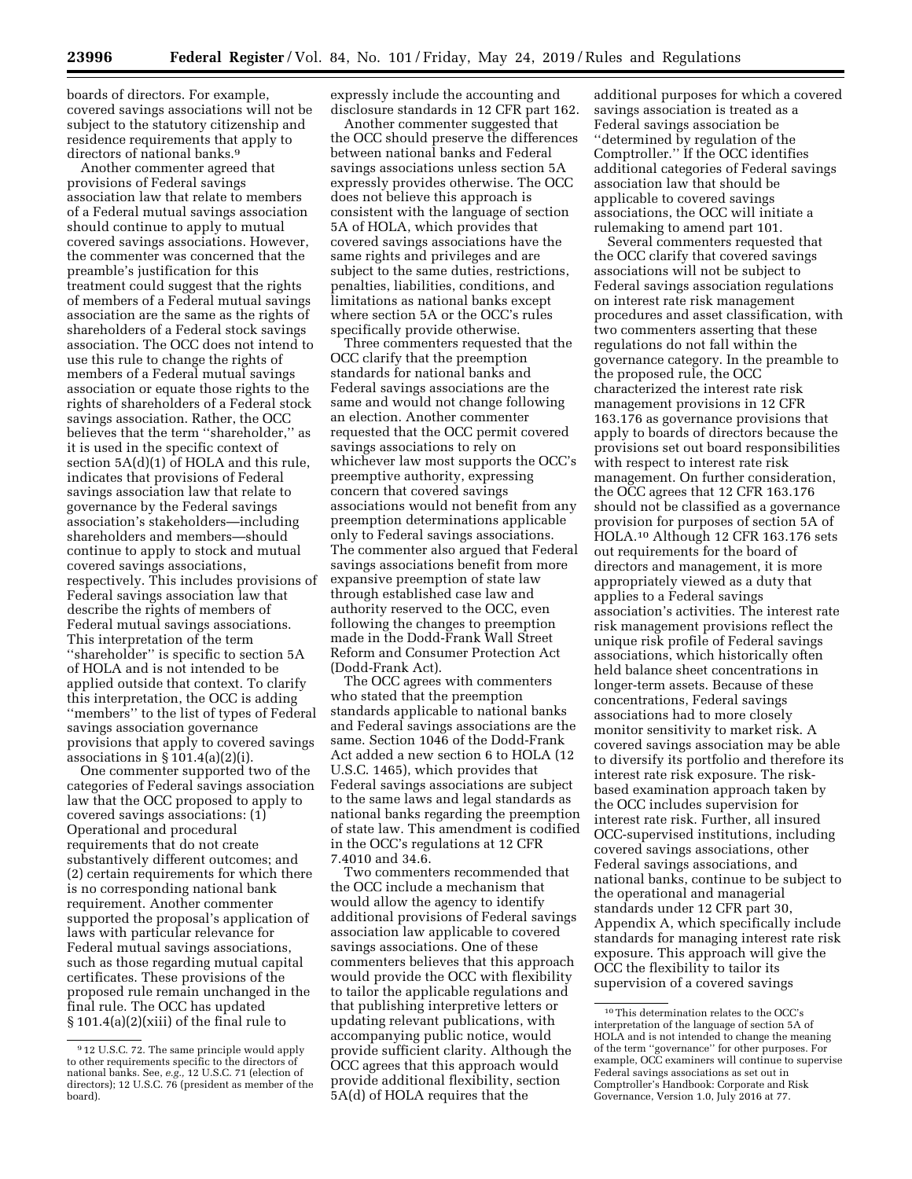boards of directors. For example, covered savings associations will not be subject to the statutory citizenship and residence requirements that apply to directors of national banks.<sup>9</sup>

Another commenter agreed that provisions of Federal savings association law that relate to members of a Federal mutual savings association should continue to apply to mutual covered savings associations. However, the commenter was concerned that the preamble's justification for this treatment could suggest that the rights of members of a Federal mutual savings association are the same as the rights of shareholders of a Federal stock savings association. The OCC does not intend to use this rule to change the rights of members of a Federal mutual savings association or equate those rights to the rights of shareholders of a Federal stock savings association. Rather, the OCC believes that the term ''shareholder,'' as it is used in the specific context of section 5A(d)(1) of HOLA and this rule, indicates that provisions of Federal savings association law that relate to governance by the Federal savings association's stakeholders—including shareholders and members—should continue to apply to stock and mutual covered savings associations, respectively. This includes provisions of Federal savings association law that describe the rights of members of Federal mutual savings associations. This interpretation of the term ''shareholder'' is specific to section 5A of HOLA and is not intended to be applied outside that context. To clarify this interpretation, the OCC is adding ''members'' to the list of types of Federal savings association governance provisions that apply to covered savings associations in  $\S 101.4(a)(2)(i)$ .

One commenter supported two of the categories of Federal savings association law that the OCC proposed to apply to covered savings associations: (1) Operational and procedural requirements that do not create substantively different outcomes; and (2) certain requirements for which there is no corresponding national bank requirement. Another commenter supported the proposal's application of laws with particular relevance for Federal mutual savings associations, such as those regarding mutual capital certificates. These provisions of the proposed rule remain unchanged in the final rule. The OCC has updated § 101.4(a)(2)(xiii) of the final rule to

expressly include the accounting and disclosure standards in 12 CFR part 162.

Another commenter suggested that the OCC should preserve the differences between national banks and Federal savings associations unless section 5A expressly provides otherwise. The OCC does not believe this approach is consistent with the language of section 5A of HOLA, which provides that covered savings associations have the same rights and privileges and are subject to the same duties, restrictions, penalties, liabilities, conditions, and limitations as national banks except where section 5A or the OCC's rules specifically provide otherwise.

Three commenters requested that the OCC clarify that the preemption standards for national banks and Federal savings associations are the same and would not change following an election. Another commenter requested that the OCC permit covered savings associations to rely on whichever law most supports the OCC's preemptive authority, expressing concern that covered savings associations would not benefit from any preemption determinations applicable only to Federal savings associations. The commenter also argued that Federal savings associations benefit from more expansive preemption of state law through established case law and authority reserved to the OCC, even following the changes to preemption made in the Dodd-Frank Wall Street Reform and Consumer Protection Act (Dodd-Frank Act).

The OCC agrees with commenters who stated that the preemption standards applicable to national banks and Federal savings associations are the same. Section 1046 of the Dodd-Frank Act added a new section 6 to HOLA (12 U.S.C. 1465), which provides that Federal savings associations are subject to the same laws and legal standards as national banks regarding the preemption of state law. This amendment is codified in the OCC's regulations at 12 CFR 7.4010 and 34.6.

Two commenters recommended that the OCC include a mechanism that would allow the agency to identify additional provisions of Federal savings association law applicable to covered savings associations. One of these commenters believes that this approach would provide the OCC with flexibility to tailor the applicable regulations and that publishing interpretive letters or updating relevant publications, with accompanying public notice, would provide sufficient clarity. Although the OCC agrees that this approach would provide additional flexibility, section 5A(d) of HOLA requires that the

additional purposes for which a covered savings association is treated as a Federal savings association be ''determined by regulation of the Comptroller.'' If the OCC identifies additional categories of Federal savings association law that should be applicable to covered savings associations, the OCC will initiate a rulemaking to amend part 101.

Several commenters requested that the OCC clarify that covered savings associations will not be subject to Federal savings association regulations on interest rate risk management procedures and asset classification, with two commenters asserting that these regulations do not fall within the governance category. In the preamble to the proposed rule, the OCC characterized the interest rate risk management provisions in 12 CFR 163.176 as governance provisions that apply to boards of directors because the provisions set out board responsibilities with respect to interest rate risk management. On further consideration, the OCC agrees that 12 CFR 163.176 should not be classified as a governance provision for purposes of section 5A of HOLA.10 Although 12 CFR 163.176 sets out requirements for the board of directors and management, it is more appropriately viewed as a duty that applies to a Federal savings association's activities. The interest rate risk management provisions reflect the unique risk profile of Federal savings associations, which historically often held balance sheet concentrations in longer-term assets. Because of these concentrations, Federal savings associations had to more closely monitor sensitivity to market risk. A covered savings association may be able to diversify its portfolio and therefore its interest rate risk exposure. The riskbased examination approach taken by the OCC includes supervision for interest rate risk. Further, all insured OCC-supervised institutions, including covered savings associations, other Federal savings associations, and national banks, continue to be subject to the operational and managerial standards under 12 CFR part 30, Appendix A, which specifically include standards for managing interest rate risk exposure. This approach will give the OCC the flexibility to tailor its supervision of a covered savings

<sup>9</sup> 12 U.S.C. 72. The same principle would apply to other requirements specific to the directors of national banks. See, *e.g.,* 12 U.S.C. 71 (election of directors); 12 U.S.C. 76 (president as member of the board).

 $^{\rm 10}\rm{This}$  determination relates to the OCC's interpretation of the language of section 5A of HOLA and is not intended to change the meaning of the term ''governance'' for other purposes. For example, OCC examiners will continue to supervise Federal savings associations as set out in Comptroller's Handbook: Corporate and Risk Governance, Version 1.0, July 2016 at 77.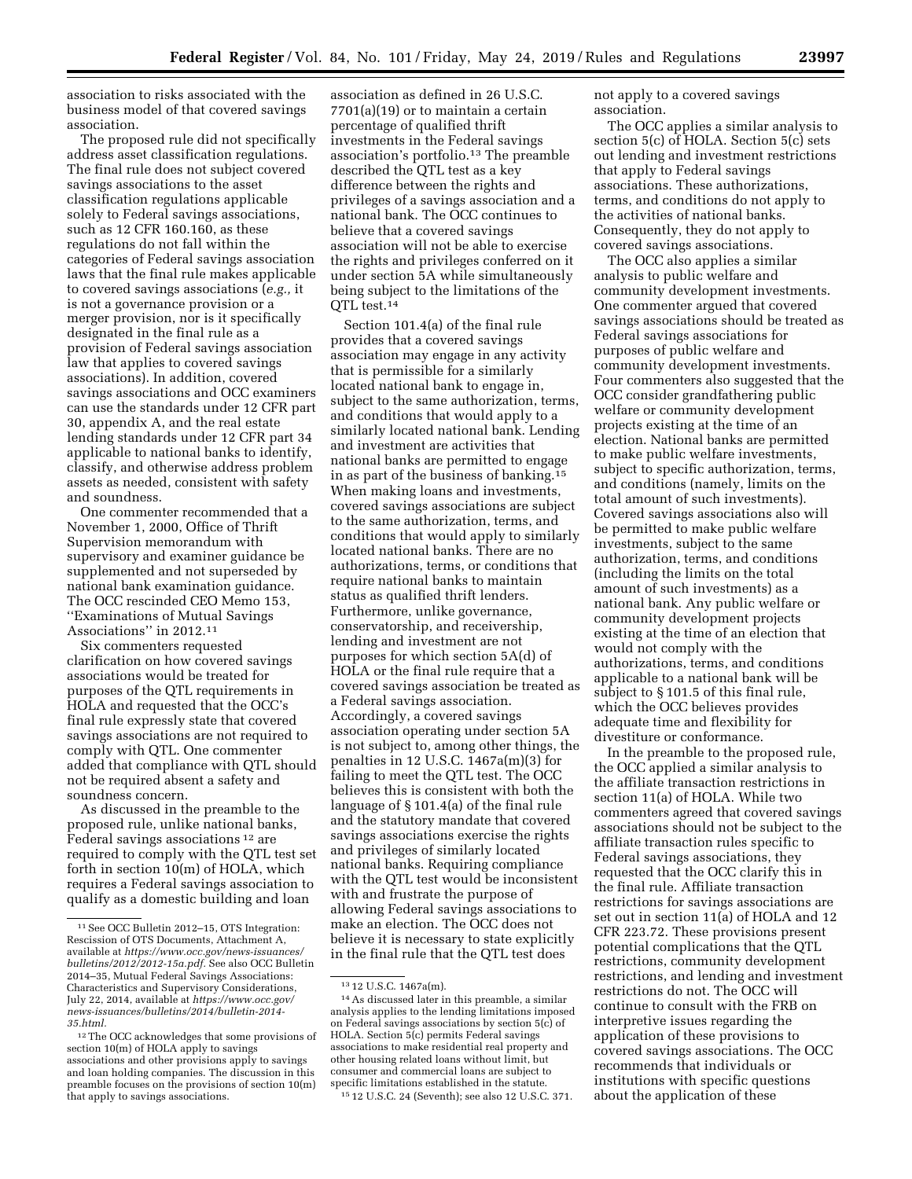association to risks associated with the business model of that covered savings association.

The proposed rule did not specifically address asset classification regulations. The final rule does not subject covered savings associations to the asset classification regulations applicable solely to Federal savings associations, such as 12 CFR 160.160, as these regulations do not fall within the categories of Federal savings association laws that the final rule makes applicable to covered savings associations (*e.g.,* it is not a governance provision or a merger provision, nor is it specifically designated in the final rule as a provision of Federal savings association law that applies to covered savings associations). In addition, covered savings associations and OCC examiners can use the standards under 12 CFR part 30, appendix A, and the real estate lending standards under 12 CFR part 34 applicable to national banks to identify, classify, and otherwise address problem assets as needed, consistent with safety and soundness.

One commenter recommended that a November 1, 2000, Office of Thrift Supervision memorandum with supervisory and examiner guidance be supplemented and not superseded by national bank examination guidance. The OCC rescinded CEO Memo 153, ''Examinations of Mutual Savings Associations'' in 2012.11

Six commenters requested clarification on how covered savings associations would be treated for purposes of the QTL requirements in HOLA and requested that the OCC's final rule expressly state that covered savings associations are not required to comply with QTL. One commenter added that compliance with QTL should not be required absent a safety and soundness concern.

As discussed in the preamble to the proposed rule, unlike national banks, Federal savings associations 12 are required to comply with the QTL test set forth in section 10(m) of HOLA, which requires a Federal savings association to qualify as a domestic building and loan

association as defined in 26 U.S.C. 7701(a)(19) or to maintain a certain percentage of qualified thrift investments in the Federal savings association's portfolio.13 The preamble described the QTL test as a key difference between the rights and privileges of a savings association and a national bank. The OCC continues to believe that a covered savings association will not be able to exercise the rights and privileges conferred on it under section 5A while simultaneously being subject to the limitations of the OTL test.<sup>14</sup>

Section 101.4(a) of the final rule provides that a covered savings association may engage in any activity that is permissible for a similarly located national bank to engage in, subject to the same authorization, terms, and conditions that would apply to a similarly located national bank. Lending and investment are activities that national banks are permitted to engage in as part of the business of banking.15 When making loans and investments, covered savings associations are subject to the same authorization, terms, and conditions that would apply to similarly located national banks. There are no authorizations, terms, or conditions that require national banks to maintain status as qualified thrift lenders. Furthermore, unlike governance, conservatorship, and receivership, lending and investment are not purposes for which section 5A(d) of HOLA or the final rule require that a covered savings association be treated as a Federal savings association. Accordingly, a covered savings association operating under section 5A is not subject to, among other things, the penalties in 12 U.S.C. 1467a(m)(3) for failing to meet the QTL test. The OCC believes this is consistent with both the language of § 101.4(a) of the final rule and the statutory mandate that covered savings associations exercise the rights and privileges of similarly located national banks. Requiring compliance with the QTL test would be inconsistent with and frustrate the purpose of allowing Federal savings associations to make an election. The OCC does not believe it is necessary to state explicitly in the final rule that the QTL test does

15 12 U.S.C. 24 (Seventh); see also 12 U.S.C. 371.

not apply to a covered savings association.

The OCC applies a similar analysis to section 5(c) of HOLA. Section 5(c) sets out lending and investment restrictions that apply to Federal savings associations. These authorizations, terms, and conditions do not apply to the activities of national banks. Consequently, they do not apply to covered savings associations.

The OCC also applies a similar analysis to public welfare and community development investments. One commenter argued that covered savings associations should be treated as Federal savings associations for purposes of public welfare and community development investments. Four commenters also suggested that the OCC consider grandfathering public welfare or community development projects existing at the time of an election. National banks are permitted to make public welfare investments, subject to specific authorization, terms, and conditions (namely, limits on the total amount of such investments). Covered savings associations also will be permitted to make public welfare investments, subject to the same authorization, terms, and conditions (including the limits on the total amount of such investments) as a national bank. Any public welfare or community development projects existing at the time of an election that would not comply with the authorizations, terms, and conditions applicable to a national bank will be subject to § 101.5 of this final rule, which the OCC believes provides adequate time and flexibility for divestiture or conformance.

In the preamble to the proposed rule, the OCC applied a similar analysis to the affiliate transaction restrictions in section 11(a) of HOLA. While two commenters agreed that covered savings associations should not be subject to the affiliate transaction rules specific to Federal savings associations, they requested that the OCC clarify this in the final rule. Affiliate transaction restrictions for savings associations are set out in section 11(a) of HOLA and 12 CFR 223.72. These provisions present potential complications that the QTL restrictions, community development restrictions, and lending and investment restrictions do not. The OCC will continue to consult with the FRB on interpretive issues regarding the application of these provisions to covered savings associations. The OCC recommends that individuals or institutions with specific questions about the application of these

<sup>11</sup>See OCC Bulletin 2012–15, OTS Integration: Rescission of OTS Documents, Attachment A, available at *[https://www.occ.gov/news-issuances/](https://www.occ.gov/news-issuances/bulletins/2012/2012-15a.pdf)  [bulletins/2012/2012-15a.pdf.](https://www.occ.gov/news-issuances/bulletins/2012/2012-15a.pdf)* See also OCC Bulletin 2014–35, Mutual Federal Savings Associations: Characteristics and Supervisory Considerations, July 22, 2014, available at *[https://www.occ.gov/](https://www.occ.gov/news-issuances/bulletins/2014/bulletin-2014-35.html)  [news-issuances/bulletins/2014/bulletin-2014-](https://www.occ.gov/news-issuances/bulletins/2014/bulletin-2014-35.html) [35.html.](https://www.occ.gov/news-issuances/bulletins/2014/bulletin-2014-35.html)* 

<sup>12</sup>The OCC acknowledges that some provisions of section 10(m) of HOLA apply to savings associations and other provisions apply to savings and loan holding companies. The discussion in this preamble focuses on the provisions of section 10(m) that apply to savings associations.

<sup>13</sup> 12 U.S.C. 1467a(m).

<sup>14</sup>As discussed later in this preamble, a similar analysis applies to the lending limitations imposed on Federal savings associations by section 5(c) of HOLA. Section 5(c) permits Federal savings associations to make residential real property and other housing related loans without limit, but consumer and commercial loans are subject to specific limitations established in the statute.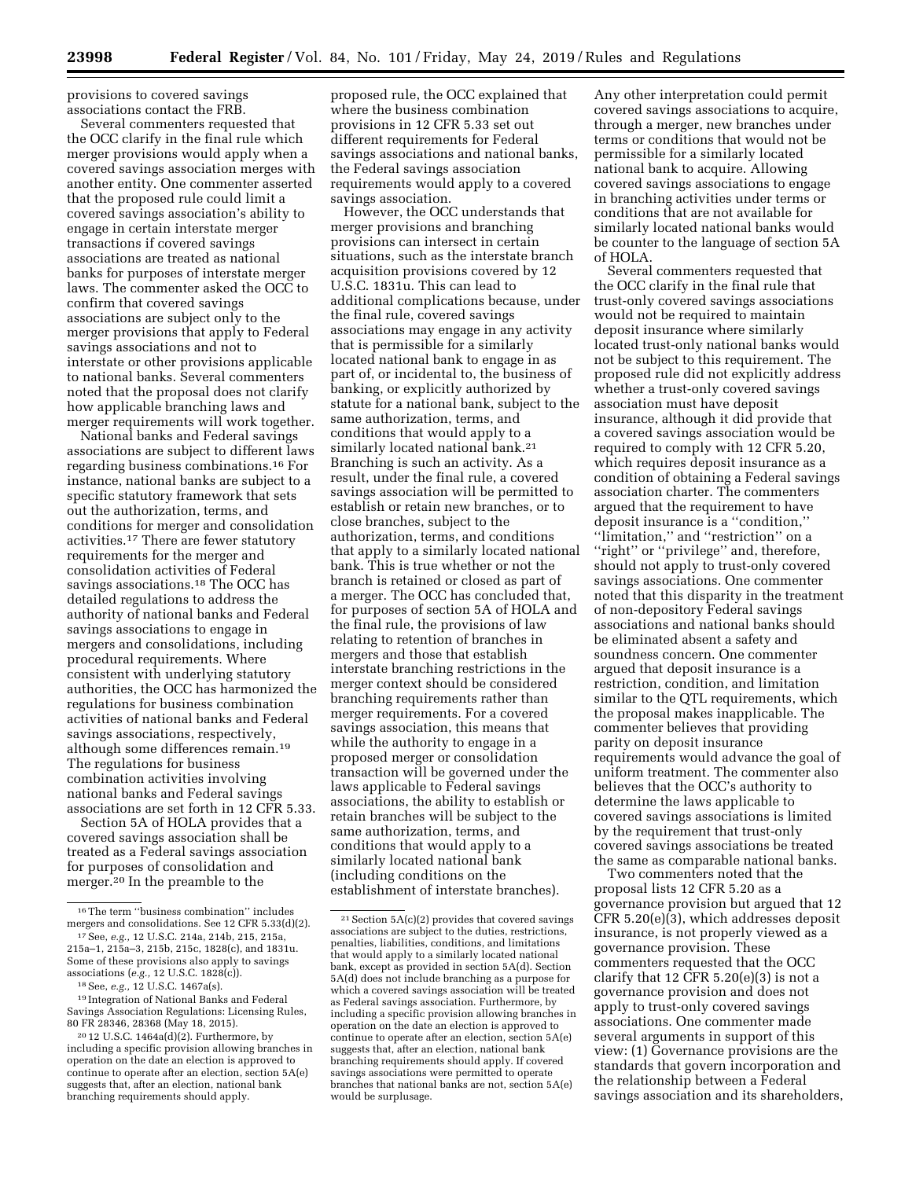provisions to covered savings associations contact the FRB.

Several commenters requested that the OCC clarify in the final rule which merger provisions would apply when a covered savings association merges with another entity. One commenter asserted that the proposed rule could limit a covered savings association's ability to engage in certain interstate merger transactions if covered savings associations are treated as national banks for purposes of interstate merger laws. The commenter asked the OCC to confirm that covered savings associations are subject only to the merger provisions that apply to Federal savings associations and not to interstate or other provisions applicable to national banks. Several commenters noted that the proposal does not clarify how applicable branching laws and merger requirements will work together.

National banks and Federal savings associations are subject to different laws regarding business combinations.16 For instance, national banks are subject to a specific statutory framework that sets out the authorization, terms, and conditions for merger and consolidation activities.17 There are fewer statutory requirements for the merger and consolidation activities of Federal savings associations.<sup>18</sup> The OCC has detailed regulations to address the authority of national banks and Federal savings associations to engage in mergers and consolidations, including procedural requirements. Where consistent with underlying statutory authorities, the OCC has harmonized the regulations for business combination activities of national banks and Federal savings associations, respectively, although some differences remain.19 The regulations for business combination activities involving national banks and Federal savings associations are set forth in 12 CFR 5.33.

Section 5A of HOLA provides that a covered savings association shall be treated as a Federal savings association for purposes of consolidation and merger.20 In the preamble to the

proposed rule, the OCC explained that where the business combination provisions in 12 CFR 5.33 set out different requirements for Federal savings associations and national banks, the Federal savings association requirements would apply to a covered savings association.

However, the OCC understands that merger provisions and branching provisions can intersect in certain situations, such as the interstate branch acquisition provisions covered by 12 U.S.C. 1831u. This can lead to additional complications because, under the final rule, covered savings associations may engage in any activity that is permissible for a similarly located national bank to engage in as part of, or incidental to, the business of banking, or explicitly authorized by statute for a national bank, subject to the same authorization, terms, and conditions that would apply to a similarly located national bank.<sup>21</sup> Branching is such an activity. As a result, under the final rule, a covered savings association will be permitted to establish or retain new branches, or to close branches, subject to the authorization, terms, and conditions that apply to a similarly located national bank. This is true whether or not the branch is retained or closed as part of a merger. The OCC has concluded that, for purposes of section 5A of HOLA and the final rule, the provisions of law relating to retention of branches in mergers and those that establish interstate branching restrictions in the merger context should be considered branching requirements rather than merger requirements. For a covered savings association, this means that while the authority to engage in a proposed merger or consolidation transaction will be governed under the laws applicable to Federal savings associations, the ability to establish or retain branches will be subject to the same authorization, terms, and conditions that would apply to a similarly located national bank (including conditions on the establishment of interstate branches).

Any other interpretation could permit covered savings associations to acquire, through a merger, new branches under terms or conditions that would not be permissible for a similarly located national bank to acquire. Allowing covered savings associations to engage in branching activities under terms or conditions that are not available for similarly located national banks would be counter to the language of section 5A of HOLA.

Several commenters requested that the OCC clarify in the final rule that trust-only covered savings associations would not be required to maintain deposit insurance where similarly located trust-only national banks would not be subject to this requirement. The proposed rule did not explicitly address whether a trust-only covered savings association must have deposit insurance, although it did provide that a covered savings association would be required to comply with 12 CFR 5.20, which requires deposit insurance as a condition of obtaining a Federal savings association charter. The commenters argued that the requirement to have deposit insurance is a ''condition,'' "limitation," and "restriction" on a "right" or "privilege" and, therefore, should not apply to trust-only covered savings associations. One commenter noted that this disparity in the treatment of non-depository Federal savings associations and national banks should be eliminated absent a safety and soundness concern. One commenter argued that deposit insurance is a restriction, condition, and limitation similar to the QTL requirements, which the proposal makes inapplicable. The commenter believes that providing parity on deposit insurance requirements would advance the goal of uniform treatment. The commenter also believes that the OCC's authority to determine the laws applicable to covered savings associations is limited by the requirement that trust-only covered savings associations be treated the same as comparable national banks.

Two commenters noted that the proposal lists 12 CFR 5.20 as a governance provision but argued that 12 CFR 5.20(e)(3), which addresses deposit insurance, is not properly viewed as a governance provision. These commenters requested that the OCC clarify that 12 CFR  $5.20(e)(3)$  is not a governance provision and does not apply to trust-only covered savings associations. One commenter made several arguments in support of this view: (1) Governance provisions are the standards that govern incorporation and the relationship between a Federal savings association and its shareholders,

<sup>16</sup>The term ''business combination'' includes mergers and consolidations. See 12 CFR 5.33(d)(2).

<sup>17</sup>See, *e.g.,* 12 U.S.C. 214a, 214b, 215, 215a, 215a–1, 215a–3, 215b, 215c, 1828(c), and 1831u. Some of these provisions also apply to savings associations (*e.g.,* 12 U.S.C. 1828(c)). 18See, *e.g.,* 12 U.S.C. 1467a(s).

<sup>19</sup> Integration of National Banks and Federal Savings Association Regulations: Licensing Rules, 80 FR 28346, 28368 (May 18, 2015).

<sup>20</sup> 12 U.S.C. 1464a(d)(2). Furthermore, by including a specific provision allowing branches in operation on the date an election is approved to continue to operate after an election, section 5A(e) suggests that, after an election, national bank branching requirements should apply.

 $21$  Section 5A(c)(2) provides that covered savings associations are subject to the duties, restrictions, penalties, liabilities, conditions, and limitations that would apply to a similarly located national bank, except as provided in section 5A(d). Section 5A(d) does not include branching as a purpose for which a covered savings association will be treated as Federal savings association. Furthermore, by including a specific provision allowing branches in operation on the date an election is approved to continue to operate after an election, section 5A(e) suggests that, after an election, national bank branching requirements should apply. If covered savings associations were permitted to operate branches that national banks are not, section 5A(e) would be surplusage.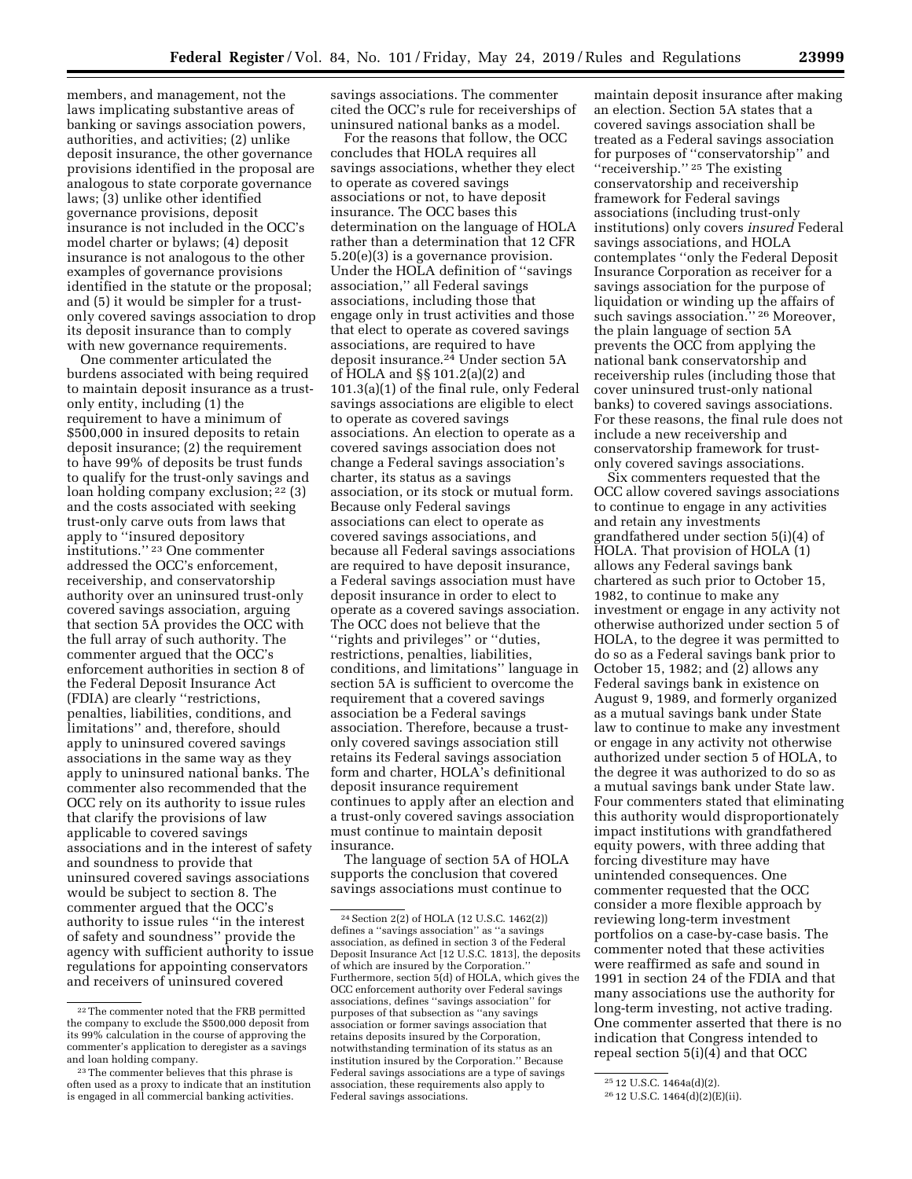members, and management, not the laws implicating substantive areas of banking or savings association powers, authorities, and activities; (2) unlike deposit insurance, the other governance provisions identified in the proposal are analogous to state corporate governance laws; (3) unlike other identified governance provisions, deposit insurance is not included in the OCC's model charter or bylaws; (4) deposit insurance is not analogous to the other examples of governance provisions identified in the statute or the proposal; and (5) it would be simpler for a trustonly covered savings association to drop its deposit insurance than to comply with new governance requirements.

One commenter articulated the burdens associated with being required to maintain deposit insurance as a trustonly entity, including (1) the requirement to have a minimum of \$500,000 in insured deposits to retain deposit insurance; (2) the requirement to have 99% of deposits be trust funds to qualify for the trust-only savings and loan holding company exclusion; 22 (3) and the costs associated with seeking trust-only carve outs from laws that apply to ''insured depository institutions.'' 23 One commenter addressed the OCC's enforcement, receivership, and conservatorship authority over an uninsured trust-only covered savings association, arguing that section 5A provides the OCC with the full array of such authority. The commenter argued that the OCC's enforcement authorities in section 8 of the Federal Deposit Insurance Act (FDIA) are clearly ''restrictions, penalties, liabilities, conditions, and limitations'' and, therefore, should apply to uninsured covered savings associations in the same way as they apply to uninsured national banks. The commenter also recommended that the OCC rely on its authority to issue rules that clarify the provisions of law applicable to covered savings associations and in the interest of safety and soundness to provide that uninsured covered savings associations would be subject to section 8. The commenter argued that the OCC's authority to issue rules ''in the interest of safety and soundness'' provide the agency with sufficient authority to issue regulations for appointing conservators and receivers of uninsured covered

savings associations. The commenter cited the OCC's rule for receiverships of uninsured national banks as a model.

For the reasons that follow, the OCC concludes that HOLA requires all savings associations, whether they elect to operate as covered savings associations or not, to have deposit insurance. The OCC bases this determination on the language of HOLA rather than a determination that 12 CFR 5.20(e)(3) is a governance provision. Under the HOLA definition of ''savings association,'' all Federal savings associations, including those that engage only in trust activities and those that elect to operate as covered savings associations, are required to have deposit insurance.24 Under section 5A of HOLA and §§ 101.2(a)(2) and 101.3(a)(1) of the final rule, only Federal savings associations are eligible to elect to operate as covered savings associations. An election to operate as a covered savings association does not change a Federal savings association's charter, its status as a savings association, or its stock or mutual form. Because only Federal savings associations can elect to operate as covered savings associations, and because all Federal savings associations are required to have deposit insurance, a Federal savings association must have deposit insurance in order to elect to operate as a covered savings association. The OCC does not believe that the ''rights and privileges'' or ''duties, restrictions, penalties, liabilities, conditions, and limitations'' language in section 5A is sufficient to overcome the requirement that a covered savings association be a Federal savings association. Therefore, because a trustonly covered savings association still retains its Federal savings association form and charter, HOLA's definitional deposit insurance requirement continues to apply after an election and a trust-only covered savings association must continue to maintain deposit insurance.

The language of section 5A of HOLA supports the conclusion that covered savings associations must continue to

maintain deposit insurance after making an election. Section 5A states that a covered savings association shall be treated as a Federal savings association for purposes of ''conservatorship'' and ''receivership.'' 25 The existing conservatorship and receivership framework for Federal savings associations (including trust-only institutions) only covers *insured* Federal savings associations, and HOLA contemplates ''only the Federal Deposit Insurance Corporation as receiver for a savings association for the purpose of liquidation or winding up the affairs of such savings association."<sup>26</sup> Moreover, the plain language of section 5A prevents the OCC from applying the national bank conservatorship and receivership rules (including those that cover uninsured trust-only national banks) to covered savings associations. For these reasons, the final rule does not include a new receivership and conservatorship framework for trustonly covered savings associations.

Six commenters requested that the OCC allow covered savings associations to continue to engage in any activities and retain any investments grandfathered under section 5(i)(4) of HOLA. That provision of HOLA (1) allows any Federal savings bank chartered as such prior to October 15, 1982, to continue to make any investment or engage in any activity not otherwise authorized under section 5 of HOLA, to the degree it was permitted to do so as a Federal savings bank prior to October 15, 1982; and (2) allows any Federal savings bank in existence on August 9, 1989, and formerly organized as a mutual savings bank under State law to continue to make any investment or engage in any activity not otherwise authorized under section 5 of HOLA, to the degree it was authorized to do so as a mutual savings bank under State law. Four commenters stated that eliminating this authority would disproportionately impact institutions with grandfathered equity powers, with three adding that forcing divestiture may have unintended consequences. One commenter requested that the OCC consider a more flexible approach by reviewing long-term investment portfolios on a case-by-case basis. The commenter noted that these activities were reaffirmed as safe and sound in 1991 in section 24 of the FDIA and that many associations use the authority for long-term investing, not active trading. One commenter asserted that there is no indication that Congress intended to repeal section 5(i)(4) and that OCC

<sup>22</sup>The commenter noted that the FRB permitted the company to exclude the \$500,000 deposit from its 99% calculation in the course of approving the commenter's application to deregister as a savings and loan holding company.

<sup>&</sup>lt;sup>23</sup>The commenter believes that this phrase is often used as a proxy to indicate that an institution is engaged in all commercial banking activities.

<sup>24</sup>Section 2(2) of HOLA (12 U.S.C. 1462(2)) defines a ''savings association'' as ''a savings association, as defined in section 3 of the Federal Deposit Insurance Act [12 U.S.C. 1813], the deposits of which are insured by the Corporation.'' Furthermore, section 5(d) of HOLA, which gives the OCC enforcement authority over Federal savings associations, defines ''savings association'' for purposes of that subsection as ''any savings association or former savings association that retains deposits insured by the Corporation, notwithstanding termination of its status as an institution insured by the Corporation.'' Because Federal savings associations are a type of savings association, these requirements also apply to Federal savings associations.

<sup>25</sup> 12 U.S.C. 1464a(d)(2).

<sup>26</sup> 12 U.S.C. 1464(d)(2)(E)(ii).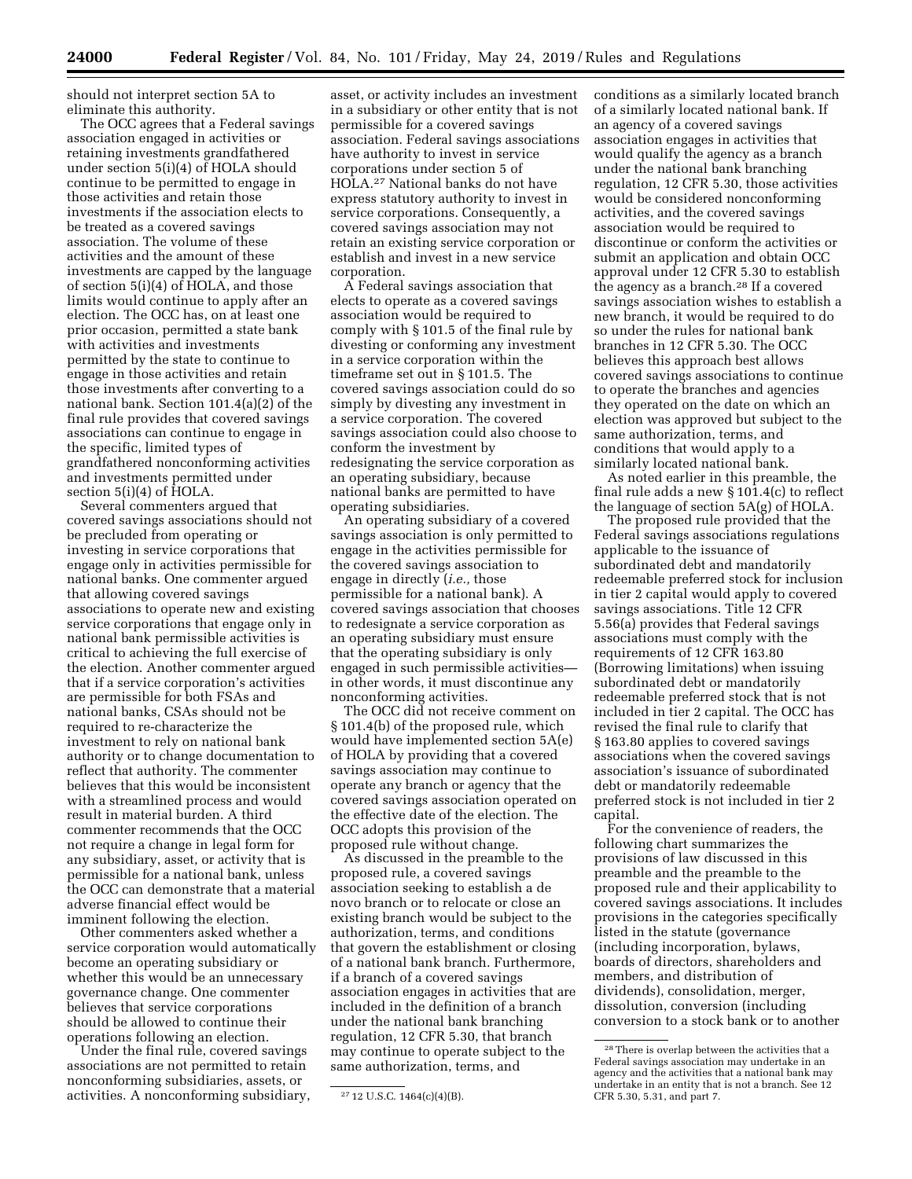should not interpret section 5A to eliminate this authority.

The OCC agrees that a Federal savings association engaged in activities or retaining investments grandfathered under section 5(i)(4) of HOLA should continue to be permitted to engage in those activities and retain those investments if the association elects to be treated as a covered savings association. The volume of these activities and the amount of these investments are capped by the language of section 5(i)(4) of HOLA, and those limits would continue to apply after an election. The OCC has, on at least one prior occasion, permitted a state bank with activities and investments permitted by the state to continue to engage in those activities and retain those investments after converting to a national bank. Section 101.4(a)(2) of the final rule provides that covered savings associations can continue to engage in the specific, limited types of grandfathered nonconforming activities and investments permitted under section 5(i)(4) of HOLA.

Several commenters argued that covered savings associations should not be precluded from operating or investing in service corporations that engage only in activities permissible for national banks. One commenter argued that allowing covered savings associations to operate new and existing service corporations that engage only in national bank permissible activities is critical to achieving the full exercise of the election. Another commenter argued that if a service corporation's activities are permissible for both FSAs and national banks, CSAs should not be required to re-characterize the investment to rely on national bank authority or to change documentation to reflect that authority. The commenter believes that this would be inconsistent with a streamlined process and would result in material burden. A third commenter recommends that the OCC not require a change in legal form for any subsidiary, asset, or activity that is permissible for a national bank, unless the OCC can demonstrate that a material adverse financial effect would be imminent following the election.

Other commenters asked whether a service corporation would automatically become an operating subsidiary or whether this would be an unnecessary governance change. One commenter believes that service corporations should be allowed to continue their operations following an election.

Under the final rule, covered savings associations are not permitted to retain nonconforming subsidiaries, assets, or activities. A nonconforming subsidiary,

asset, or activity includes an investment in a subsidiary or other entity that is not permissible for a covered savings association. Federal savings associations have authority to invest in service corporations under section 5 of HOLA.27 National banks do not have express statutory authority to invest in service corporations. Consequently, a covered savings association may not retain an existing service corporation or establish and invest in a new service corporation.

A Federal savings association that elects to operate as a covered savings association would be required to comply with § 101.5 of the final rule by divesting or conforming any investment in a service corporation within the timeframe set out in § 101.5. The covered savings association could do so simply by divesting any investment in a service corporation. The covered savings association could also choose to conform the investment by redesignating the service corporation as an operating subsidiary, because national banks are permitted to have operating subsidiaries.

An operating subsidiary of a covered savings association is only permitted to engage in the activities permissible for the covered savings association to engage in directly (*i.e.,* those permissible for a national bank). A covered savings association that chooses to redesignate a service corporation as an operating subsidiary must ensure that the operating subsidiary is only engaged in such permissible activities in other words, it must discontinue any nonconforming activities.

The OCC did not receive comment on § 101.4(b) of the proposed rule, which would have implemented section 5A(e) of HOLA by providing that a covered savings association may continue to operate any branch or agency that the covered savings association operated on the effective date of the election. The OCC adopts this provision of the proposed rule without change.

As discussed in the preamble to the proposed rule, a covered savings association seeking to establish a de novo branch or to relocate or close an existing branch would be subject to the authorization, terms, and conditions that govern the establishment or closing of a national bank branch. Furthermore, if a branch of a covered savings association engages in activities that are included in the definition of a branch under the national bank branching regulation, 12 CFR 5.30, that branch may continue to operate subject to the same authorization, terms, and

conditions as a similarly located branch of a similarly located national bank. If an agency of a covered savings association engages in activities that would qualify the agency as a branch under the national bank branching regulation, 12 CFR 5.30, those activities would be considered nonconforming activities, and the covered savings association would be required to discontinue or conform the activities or submit an application and obtain OCC approval under 12 CFR 5.30 to establish the agency as a branch.28 If a covered savings association wishes to establish a new branch, it would be required to do so under the rules for national bank branches in 12 CFR 5.30. The OCC believes this approach best allows covered savings associations to continue to operate the branches and agencies they operated on the date on which an election was approved but subject to the same authorization, terms, and conditions that would apply to a similarly located national bank.

As noted earlier in this preamble, the final rule adds a new § 101.4(c) to reflect the language of section 5A(g) of HOLA.

The proposed rule provided that the Federal savings associations regulations applicable to the issuance of subordinated debt and mandatorily redeemable preferred stock for inclusion in tier 2 capital would apply to covered savings associations. Title 12 CFR 5.56(a) provides that Federal savings associations must comply with the requirements of 12 CFR 163.80 (Borrowing limitations) when issuing subordinated debt or mandatorily redeemable preferred stock that is not included in tier 2 capital. The OCC has revised the final rule to clarify that § 163.80 applies to covered savings associations when the covered savings association's issuance of subordinated debt or mandatorily redeemable preferred stock is not included in tier 2 capital.

For the convenience of readers, the following chart summarizes the provisions of law discussed in this preamble and the preamble to the proposed rule and their applicability to covered savings associations. It includes provisions in the categories specifically listed in the statute (governance (including incorporation, bylaws, boards of directors, shareholders and members, and distribution of dividends), consolidation, merger, dissolution, conversion (including conversion to a stock bank or to another

<sup>27</sup> 12 U.S.C. 1464(c)(4)(B).

<sup>28</sup>There is overlap between the activities that a Federal savings association may undertake in an agency and the activities that a national bank may undertake in an entity that is not a branch. See 12 CFR 5.30, 5.31, and part 7.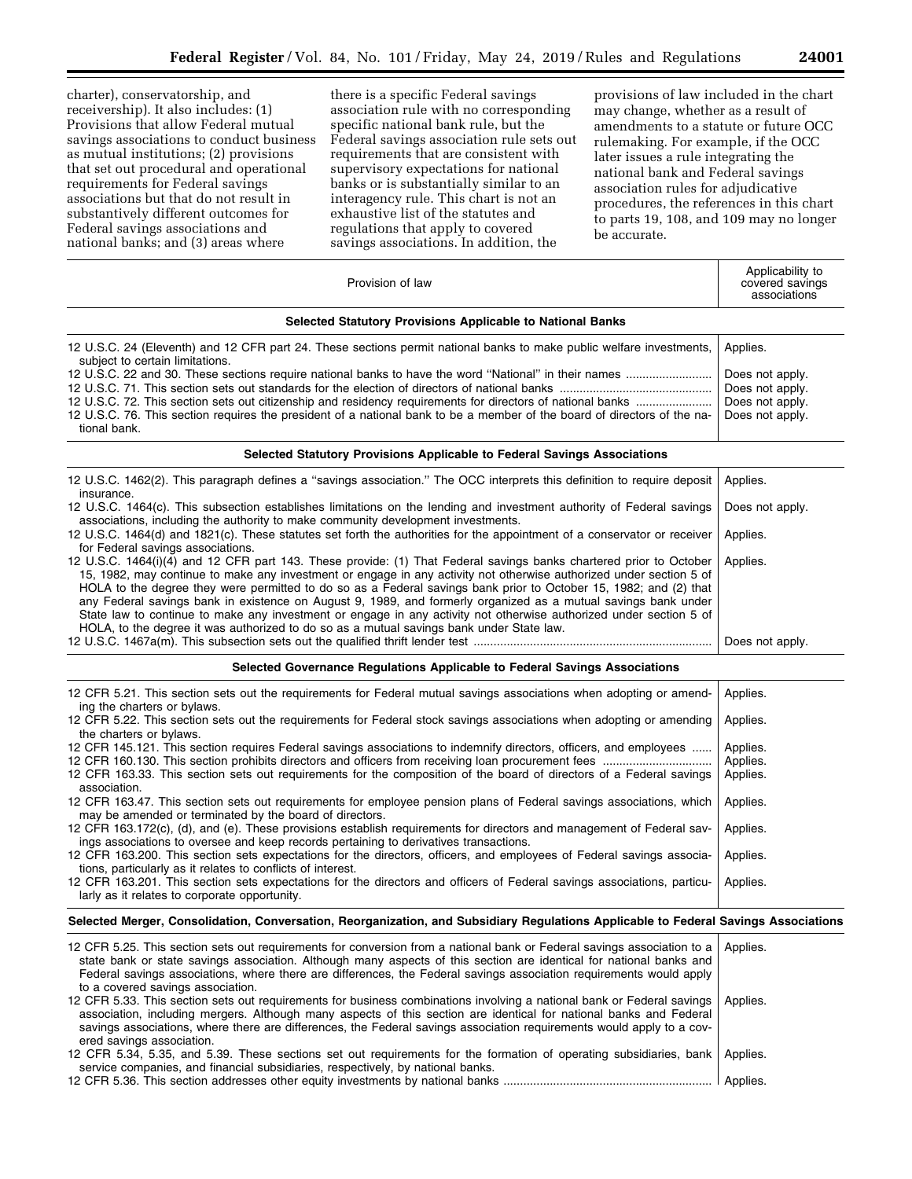charter), conservatorship, and receivership). It also includes: (1) Provisions that allow Federal mutual savings associations to conduct business as mutual institutions; (2) provisions that set out procedural and operational requirements for Federal savings associations but that do not result in substantively different outcomes for Federal savings associations and national banks; and (3) areas where

there is a specific Federal savings association rule with no corresponding specific national bank rule, but the Federal savings association rule sets out requirements that are consistent with supervisory expectations for national banks or is substantially similar to an interagency rule. This chart is not an exhaustive list of the statutes and regulations that apply to covered savings associations. In addition, the

provisions of law included in the chart may change, whether as a result of amendments to a statute or future OCC rulemaking. For example, if the OCC later issues a rule integrating the national bank and Federal savings association rules for adjudicative procedures, the references in this chart to parts 19, 108, and 109 may no longer be accurate.

| Provision of law                                                                                                                                                                                                                                                                                                                                                                                                                                                                                                                                                                                                                                                                                   | Applicability to<br>covered savings<br>associations                      |  |
|----------------------------------------------------------------------------------------------------------------------------------------------------------------------------------------------------------------------------------------------------------------------------------------------------------------------------------------------------------------------------------------------------------------------------------------------------------------------------------------------------------------------------------------------------------------------------------------------------------------------------------------------------------------------------------------------------|--------------------------------------------------------------------------|--|
| Selected Statutory Provisions Applicable to National Banks                                                                                                                                                                                                                                                                                                                                                                                                                                                                                                                                                                                                                                         |                                                                          |  |
| 12 U.S.C. 24 (Eleventh) and 12 CFR part 24. These sections permit national banks to make public welfare investments,                                                                                                                                                                                                                                                                                                                                                                                                                                                                                                                                                                               | Applies.                                                                 |  |
| subject to certain limitations.<br>12 U.S.C. 76. This section requires the president of a national bank to be a member of the board of directors of the na-<br>tional bank.                                                                                                                                                                                                                                                                                                                                                                                                                                                                                                                        | Does not apply.<br>Does not apply.<br>Does not apply.<br>Does not apply. |  |
| Selected Statutory Provisions Applicable to Federal Savings Associations                                                                                                                                                                                                                                                                                                                                                                                                                                                                                                                                                                                                                           |                                                                          |  |
| 12 U.S.C. 1462(2). This paragraph defines a "savings association." The OCC interprets this definition to require deposit                                                                                                                                                                                                                                                                                                                                                                                                                                                                                                                                                                           | Applies.                                                                 |  |
| insurance.<br>12 U.S.C. 1464(c). This subsection establishes limitations on the lending and investment authority of Federal savings<br>associations, including the authority to make community development investments.                                                                                                                                                                                                                                                                                                                                                                                                                                                                            | Does not apply.                                                          |  |
| 12 U.S.C. 1464(d) and 1821(c). These statutes set forth the authorities for the appointment of a conservator or receiver<br>for Federal savings associations.                                                                                                                                                                                                                                                                                                                                                                                                                                                                                                                                      | Applies.                                                                 |  |
| 12 U.S.C. 1464(i)(4) and 12 CFR part 143. These provide: (1) That Federal savings banks chartered prior to October<br>15, 1982, may continue to make any investment or engage in any activity not otherwise authorized under section 5 of<br>HOLA to the degree they were permitted to do so as a Federal savings bank prior to October 15, 1982; and (2) that<br>any Federal savings bank in existence on August 9, 1989, and formerly organized as a mutual savings bank under<br>State law to continue to make any investment or engage in any activity not otherwise authorized under section 5 of<br>HOLA, to the degree it was authorized to do so as a mutual savings bank under State law. | Applies.                                                                 |  |
|                                                                                                                                                                                                                                                                                                                                                                                                                                                                                                                                                                                                                                                                                                    | Does not apply.                                                          |  |
| Selected Governance Regulations Applicable to Federal Savings Associations                                                                                                                                                                                                                                                                                                                                                                                                                                                                                                                                                                                                                         |                                                                          |  |
| 12 CFR 5.21. This section sets out the requirements for Federal mutual savings associations when adopting or amend-<br>ing the charters or bylaws.                                                                                                                                                                                                                                                                                                                                                                                                                                                                                                                                                 | Applies.                                                                 |  |
| 12 CFR 5.22. This section sets out the requirements for Federal stock savings associations when adopting or amending<br>the charters or bylaws.                                                                                                                                                                                                                                                                                                                                                                                                                                                                                                                                                    | Applies.                                                                 |  |
| 12 CFR 145.121. This section requires Federal savings associations to indemnify directors, officers, and employees                                                                                                                                                                                                                                                                                                                                                                                                                                                                                                                                                                                 | Applies.<br>Applies.                                                     |  |
| 12 CFR 163.33. This section sets out requirements for the composition of the board of directors of a Federal savings<br>association.                                                                                                                                                                                                                                                                                                                                                                                                                                                                                                                                                               | Applies.                                                                 |  |
| 12 CFR 163.47. This section sets out requirements for employee pension plans of Federal savings associations, which<br>may be amended or terminated by the board of directors.                                                                                                                                                                                                                                                                                                                                                                                                                                                                                                                     | Applies.                                                                 |  |
| 12 CFR 163.172(c), (d), and (e). These provisions establish requirements for directors and management of Federal sav-<br>ings associations to oversee and keep records pertaining to derivatives transactions.                                                                                                                                                                                                                                                                                                                                                                                                                                                                                     | Applies.                                                                 |  |
| 12 CFR 163.200. This section sets expectations for the directors, officers, and employees of Federal savings associa-<br>tions, particularly as it relates to conflicts of interest.                                                                                                                                                                                                                                                                                                                                                                                                                                                                                                               | Applies.                                                                 |  |
| 12 CFR 163.201. This section sets expectations for the directors and officers of Federal savings associations, particu-<br>larly as it relates to corporate opportunity.                                                                                                                                                                                                                                                                                                                                                                                                                                                                                                                           | Applies.                                                                 |  |
| Selected Merger, Consolidation, Conversation, Reorganization, and Subsidiary Regulations Applicable to Federal Savings Associations                                                                                                                                                                                                                                                                                                                                                                                                                                                                                                                                                                |                                                                          |  |
| 12 CFR 5.25. This section sets out requirements for conversion from a national bank or Federal savings association to a<br>state bank or state savings association. Although many aspects of this section are identical for national banks and<br>Federal savings associations, where there are differences, the Federal savings association requirements would apply                                                                                                                                                                                                                                                                                                                              | Applies.                                                                 |  |

to a covered savings association. 12 CFR 5.33. This section sets out requirements for business combinations involving a national bank or Federal savings association, including mergers. Although many aspects of this section are identical for national banks and Federal savings associations, where there are differences, the Federal savings association requirements would apply to a covered savings association. Applies. 12 CFR 5.34, 5.35, and 5.39. These sections set out requirements for the formation of operating subsidiaries, bank Applies.

service companies, and financial subsidiaries, respectively, by national banks. 12 CFR 5.36. This section addresses other equity investments by national banks ............................................................... Applies.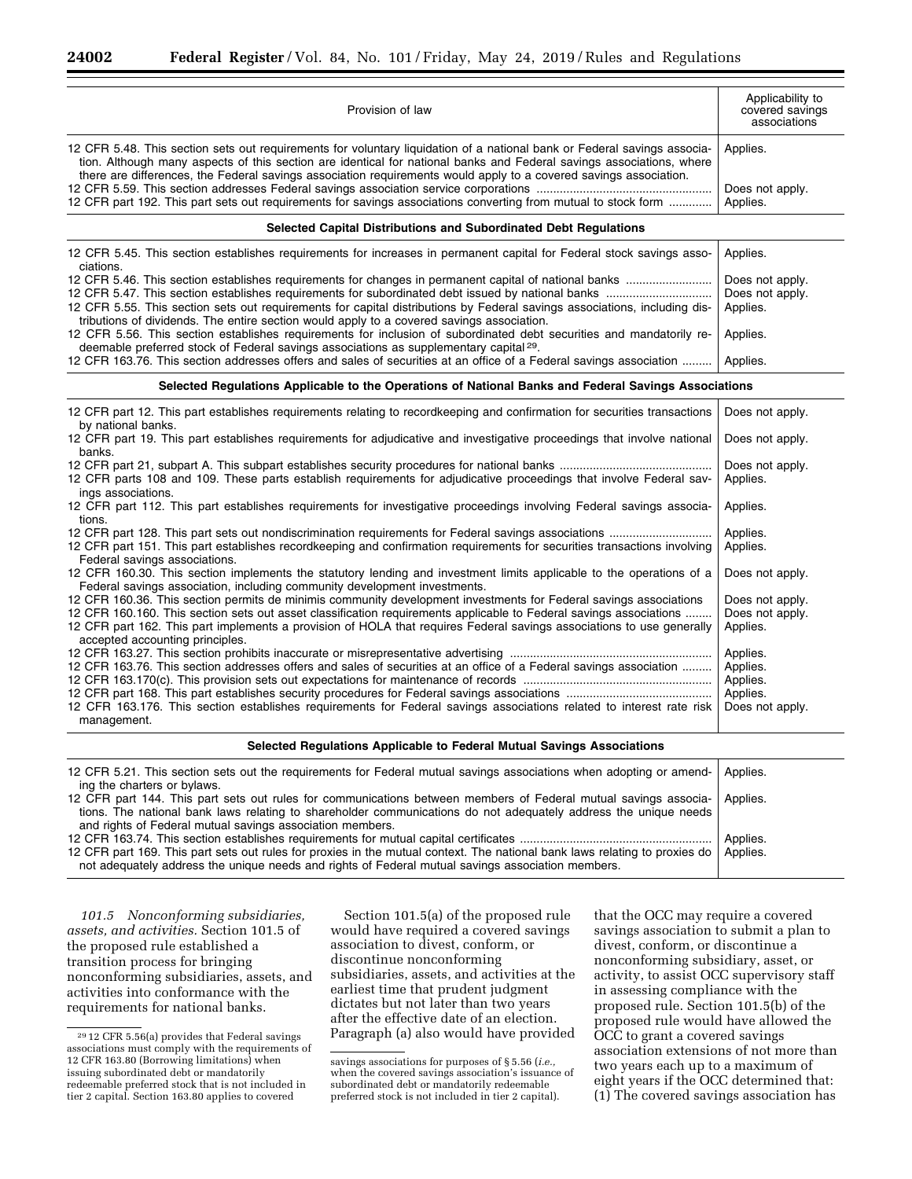| Provision of law                                                                                                                                                                                                                                                                                                                                                                                    | Applicability to<br>covered savings<br>associations |  |
|-----------------------------------------------------------------------------------------------------------------------------------------------------------------------------------------------------------------------------------------------------------------------------------------------------------------------------------------------------------------------------------------------------|-----------------------------------------------------|--|
| 12 CFR 5.48. This section sets out requirements for voluntary liquidation of a national bank or Federal savings associa-<br>tion. Although many aspects of this section are identical for national banks and Federal savings associations, where                                                                                                                                                    | Applies.                                            |  |
| there are differences, the Federal savings association requirements would apply to a covered savings association.<br>12 CFR part 192. This part sets out requirements for savings associations converting from mutual to stock form                                                                                                                                                                 | Does not apply.<br>Applies.                         |  |
| Selected Capital Distributions and Subordinated Debt Regulations                                                                                                                                                                                                                                                                                                                                    |                                                     |  |
| 12 CFR 5.45. This section establishes requirements for increases in permanent capital for Federal stock savings asso-<br>ciations.                                                                                                                                                                                                                                                                  | Applies.                                            |  |
|                                                                                                                                                                                                                                                                                                                                                                                                     | Does not apply.<br>Does not apply.                  |  |
| 12 CFR 5.55. This section sets out requirements for capital distributions by Federal savings associations, including dis-<br>tributions of dividends. The entire section would apply to a covered savings association.                                                                                                                                                                              | Applies.                                            |  |
| 12 CFR 5.56. This section establishes requirements for inclusion of subordinated debt securities and mandatorily re-<br>deemable preferred stock of Federal savings associations as supplementary capital <sup>29</sup> .                                                                                                                                                                           | Applies.                                            |  |
| 12 CFR 163.76. This section addresses offers and sales of securities at an office of a Federal savings association                                                                                                                                                                                                                                                                                  | Applies.                                            |  |
| Selected Regulations Applicable to the Operations of National Banks and Federal Savings Associations                                                                                                                                                                                                                                                                                                |                                                     |  |
| 12 CFR part 12. This part establishes requirements relating to recordkeeping and confirmation for securities transactions<br>by national banks.                                                                                                                                                                                                                                                     | Does not apply.                                     |  |
| 12 CFR part 19. This part establishes requirements for adjudicative and investigative proceedings that involve national<br>banks.                                                                                                                                                                                                                                                                   | Does not apply.                                     |  |
| 12 CFR parts 108 and 109. These parts establish requirements for adjudicative proceedings that involve Federal sav-<br>ings associations.                                                                                                                                                                                                                                                           | Does not apply.<br>Applies.                         |  |
| 12 CFR part 112. This part establishes requirements for investigative proceedings involving Federal savings associa-<br>tions.                                                                                                                                                                                                                                                                      | Applies.                                            |  |
| 12 CFR part 128. This part sets out nondiscrimination requirements for Federal savings associations<br>12 CFR part 151. This part establishes recordkeeping and confirmation requirements for securities transactions involving<br>Federal savings associations.                                                                                                                                    | Applies.<br>Applies.                                |  |
| 12 CFR 160.30. This section implements the statutory lending and investment limits applicable to the operations of a<br>Federal savings association, including community development investments.                                                                                                                                                                                                   | Does not apply.                                     |  |
| 12 CFR 160.36. This section permits de minimis community development investments for Federal savings associations<br>12 CFR 160.160. This section sets out asset classification requirements applicable to Federal savings associations<br>12 CFR part 162. This part implements a provision of HOLA that requires Federal savings associations to use generally<br>accepted accounting principles. | Does not apply.<br>Does not apply.<br>Applies.      |  |
| 12 CFR 163.76. This section addresses offers and sales of securities at an office of a Federal savings association                                                                                                                                                                                                                                                                                  | Applies.<br>Applies.<br>Applies.                    |  |
| 12 CFR 163.176. This section establishes requirements for Federal savings associations related to interest rate risk<br>management.                                                                                                                                                                                                                                                                 | Applies.<br>Does not apply.                         |  |
| Selected Regulations Applicable to Federal Mutual Savings Associations                                                                                                                                                                                                                                                                                                                              |                                                     |  |
| 12 CFR 5.21. This section sets out the requirements for Federal mutual savings associations when adopting or amend-<br>ing the charters or bylaws.                                                                                                                                                                                                                                                  | Applies.                                            |  |
| 12 CFR part 144. This part sets out rules for communications between members of Federal mutual savings associa-<br>tions. The national bank laws relating to shareholder communications do not adequately address the unique needs<br>and rights of Federal mutual savings association members.                                                                                                     | Applies.                                            |  |
|                                                                                                                                                                                                                                                                                                                                                                                                     | Applies.                                            |  |
| 12 CFR part 169. This part sets out rules for proxies in the mutual context. The national bank laws relating to proxies do<br>not adequately address the unique needs and rights of Federal mutual savings association members.                                                                                                                                                                     | Applies.                                            |  |

*101.5 Nonconforming subsidiaries, assets, and activities.* Section 101.5 of the proposed rule established a transition process for bringing nonconforming subsidiaries, assets, and activities into conformance with the requirements for national banks.

Section 101.5(a) of the proposed rule would have required a covered savings association to divest, conform, or discontinue nonconforming subsidiaries, assets, and activities at the earliest time that prudent judgment dictates but not later than two years after the effective date of an election. Paragraph (a) also would have provided

that the OCC may require a covered savings association to submit a plan to divest, conform, or discontinue a nonconforming subsidiary, asset, or activity, to assist OCC supervisory staff in assessing compliance with the proposed rule. Section 101.5(b) of the proposed rule would have allowed the OCC to grant a covered savings association extensions of not more than two years each up to a maximum of eight years if the OCC determined that: (1) The covered savings association has

<sup>29</sup> 12 CFR 5.56(a) provides that Federal savings associations must comply with the requirements of 12 CFR 163.80 (Borrowing limitations) when issuing subordinated debt or mandatorily redeemable preferred stock that is not included in tier 2 capital. Section 163.80 applies to covered

savings associations for purposes of § 5.56 (*i.e.,*  when the covered savings association's issuance of subordinated debt or mandatorily redeemable preferred stock is not included in tier 2 capital).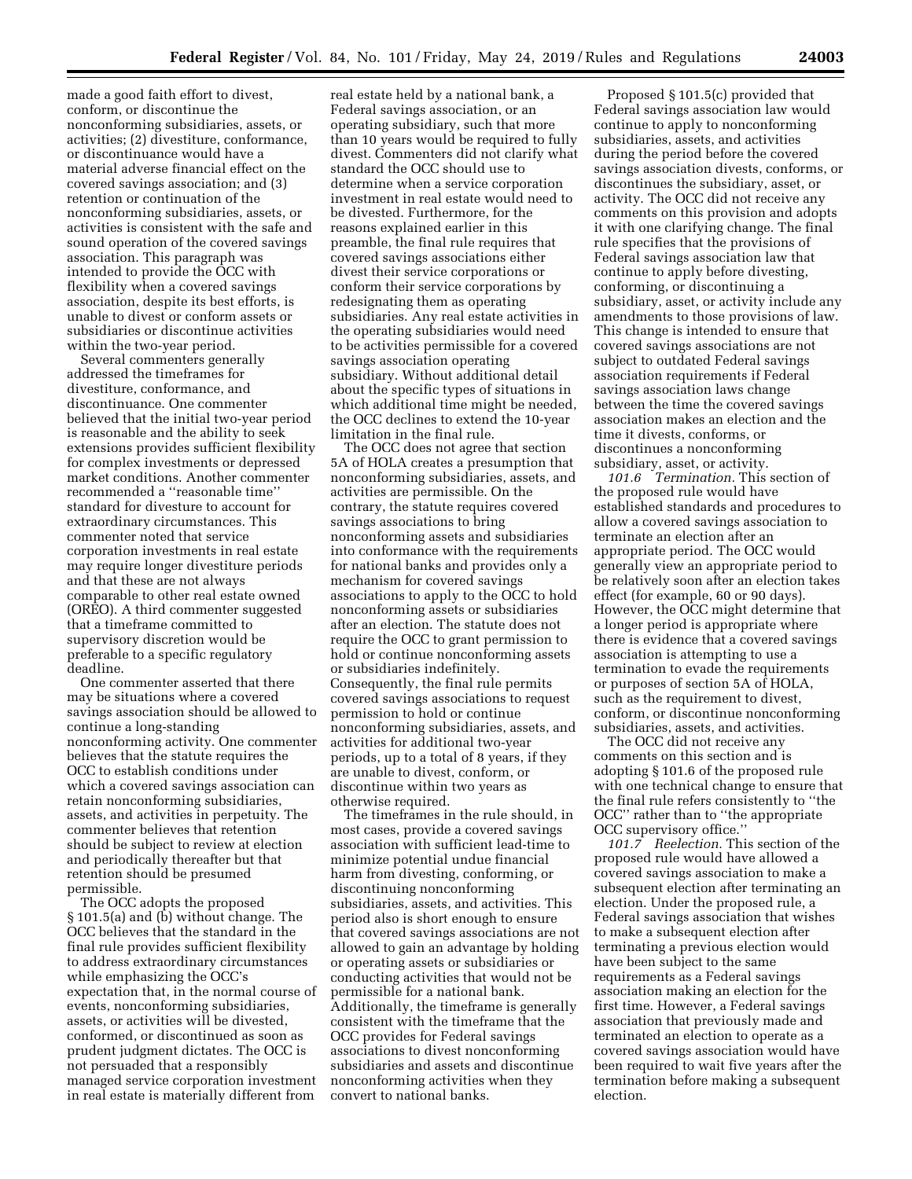made a good faith effort to divest, conform, or discontinue the nonconforming subsidiaries, assets, or activities; (2) divestiture, conformance, or discontinuance would have a material adverse financial effect on the covered savings association; and (3) retention or continuation of the nonconforming subsidiaries, assets, or activities is consistent with the safe and sound operation of the covered savings association. This paragraph was intended to provide the OCC with flexibility when a covered savings association, despite its best efforts, is unable to divest or conform assets or subsidiaries or discontinue activities within the two-year period.

Several commenters generally addressed the timeframes for divestiture, conformance, and discontinuance. One commenter believed that the initial two-year period is reasonable and the ability to seek extensions provides sufficient flexibility for complex investments or depressed market conditions. Another commenter recommended a ''reasonable time'' standard for divesture to account for extraordinary circumstances. This commenter noted that service corporation investments in real estate may require longer divestiture periods and that these are not always comparable to other real estate owned (OREO). A third commenter suggested that a timeframe committed to supervisory discretion would be preferable to a specific regulatory deadline.

One commenter asserted that there may be situations where a covered savings association should be allowed to continue a long-standing nonconforming activity. One commenter believes that the statute requires the OCC to establish conditions under which a covered savings association can retain nonconforming subsidiaries, assets, and activities in perpetuity. The commenter believes that retention should be subject to review at election and periodically thereafter but that retention should be presumed permissible.

The OCC adopts the proposed § 101.5(a) and (b) without change. The OCC believes that the standard in the final rule provides sufficient flexibility to address extraordinary circumstances while emphasizing the OCC's expectation that, in the normal course of events, nonconforming subsidiaries, assets, or activities will be divested, conformed, or discontinued as soon as prudent judgment dictates. The OCC is not persuaded that a responsibly managed service corporation investment in real estate is materially different from

real estate held by a national bank, a Federal savings association, or an operating subsidiary, such that more than 10 years would be required to fully divest. Commenters did not clarify what standard the OCC should use to determine when a service corporation investment in real estate would need to be divested. Furthermore, for the reasons explained earlier in this preamble, the final rule requires that covered savings associations either divest their service corporations or conform their service corporations by redesignating them as operating subsidiaries. Any real estate activities in the operating subsidiaries would need to be activities permissible for a covered savings association operating subsidiary. Without additional detail about the specific types of situations in which additional time might be needed, the OCC declines to extend the 10-year limitation in the final rule.

The OCC does not agree that section 5A of HOLA creates a presumption that nonconforming subsidiaries, assets, and activities are permissible. On the contrary, the statute requires covered savings associations to bring nonconforming assets and subsidiaries into conformance with the requirements for national banks and provides only a mechanism for covered savings associations to apply to the OCC to hold nonconforming assets or subsidiaries after an election. The statute does not require the OCC to grant permission to hold or continue nonconforming assets or subsidiaries indefinitely. Consequently, the final rule permits covered savings associations to request permission to hold or continue nonconforming subsidiaries, assets, and activities for additional two-year periods, up to a total of 8 years, if they are unable to divest, conform, or discontinue within two years as otherwise required.

The timeframes in the rule should, in most cases, provide a covered savings association with sufficient lead-time to minimize potential undue financial harm from divesting, conforming, or discontinuing nonconforming subsidiaries, assets, and activities. This period also is short enough to ensure that covered savings associations are not allowed to gain an advantage by holding or operating assets or subsidiaries or conducting activities that would not be permissible for a national bank. Additionally, the timeframe is generally consistent with the timeframe that the OCC provides for Federal savings associations to divest nonconforming subsidiaries and assets and discontinue nonconforming activities when they convert to national banks.

Proposed § 101.5(c) provided that Federal savings association law would continue to apply to nonconforming subsidiaries, assets, and activities during the period before the covered savings association divests, conforms, or discontinues the subsidiary, asset, or activity. The OCC did not receive any comments on this provision and adopts it with one clarifying change. The final rule specifies that the provisions of Federal savings association law that continue to apply before divesting, conforming, or discontinuing a subsidiary, asset, or activity include any amendments to those provisions of law. This change is intended to ensure that covered savings associations are not subject to outdated Federal savings association requirements if Federal savings association laws change between the time the covered savings association makes an election and the time it divests, conforms, or discontinues a nonconforming subsidiary, asset, or activity.

*101.6 Termination.* This section of the proposed rule would have established standards and procedures to allow a covered savings association to terminate an election after an appropriate period. The OCC would generally view an appropriate period to be relatively soon after an election takes effect (for example, 60 or 90 days). However, the OCC might determine that a longer period is appropriate where there is evidence that a covered savings association is attempting to use a termination to evade the requirements or purposes of section 5A of HOLA, such as the requirement to divest, conform, or discontinue nonconforming subsidiaries, assets, and activities.

The OCC did not receive any comments on this section and is adopting § 101.6 of the proposed rule with one technical change to ensure that the final rule refers consistently to ''the OCC'' rather than to ''the appropriate OCC supervisory office.''

*101.7 Reelection.* This section of the proposed rule would have allowed a covered savings association to make a subsequent election after terminating an election. Under the proposed rule, a Federal savings association that wishes to make a subsequent election after terminating a previous election would have been subject to the same requirements as a Federal savings association making an election for the first time. However, a Federal savings association that previously made and terminated an election to operate as a covered savings association would have been required to wait five years after the termination before making a subsequent election.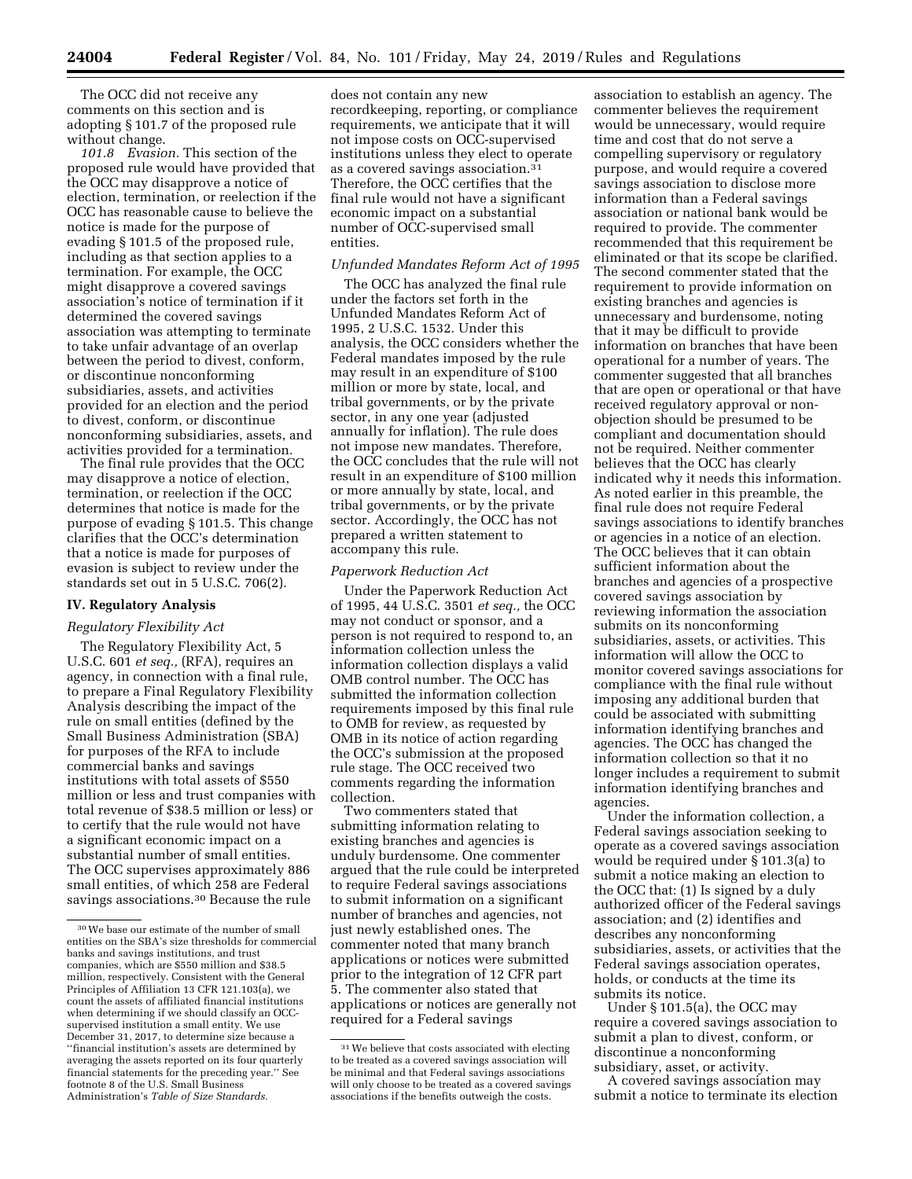The OCC did not receive any comments on this section and is adopting § 101.7 of the proposed rule without change.

*101.8 Evasion.* This section of the proposed rule would have provided that the OCC may disapprove a notice of election, termination, or reelection if the OCC has reasonable cause to believe the notice is made for the purpose of evading § 101.5 of the proposed rule, including as that section applies to a termination. For example, the OCC might disapprove a covered savings association's notice of termination if it determined the covered savings association was attempting to terminate to take unfair advantage of an overlap between the period to divest, conform, or discontinue nonconforming subsidiaries, assets, and activities provided for an election and the period to divest, conform, or discontinue nonconforming subsidiaries, assets, and activities provided for a termination.

The final rule provides that the OCC may disapprove a notice of election, termination, or reelection if the OCC determines that notice is made for the purpose of evading § 101.5. This change clarifies that the OCC's determination that a notice is made for purposes of evasion is subject to review under the standards set out in 5 U.S.C. 706(2).

#### **IV. Regulatory Analysis**

## *Regulatory Flexibility Act*

The Regulatory Flexibility Act, 5 U.S.C. 601 *et seq.,* (RFA), requires an agency, in connection with a final rule, to prepare a Final Regulatory Flexibility Analysis describing the impact of the rule on small entities (defined by the Small Business Administration (SBA) for purposes of the RFA to include commercial banks and savings institutions with total assets of \$550 million or less and trust companies with total revenue of \$38.5 million or less) or to certify that the rule would not have a significant economic impact on a substantial number of small entities. The OCC supervises approximately 886 small entities, of which 258 are Federal savings associations.30 Because the rule

does not contain any new recordkeeping, reporting, or compliance requirements, we anticipate that it will not impose costs on OCC-supervised institutions unless they elect to operate as a covered savings association.31 Therefore, the OCC certifies that the final rule would not have a significant economic impact on a substantial number of OCC-supervised small entities.

#### *Unfunded Mandates Reform Act of 1995*

The OCC has analyzed the final rule under the factors set forth in the Unfunded Mandates Reform Act of 1995, 2 U.S.C. 1532. Under this analysis, the OCC considers whether the Federal mandates imposed by the rule may result in an expenditure of \$100 million or more by state, local, and tribal governments, or by the private sector, in any one year (adjusted annually for inflation). The rule does not impose new mandates. Therefore, the OCC concludes that the rule will not result in an expenditure of \$100 million or more annually by state, local, and tribal governments, or by the private sector. Accordingly, the OCC has not prepared a written statement to accompany this rule.

#### *Paperwork Reduction Act*

Under the Paperwork Reduction Act of 1995, 44 U.S.C. 3501 *et seq.,* the OCC may not conduct or sponsor, and a person is not required to respond to, an information collection unless the information collection displays a valid OMB control number. The OCC has submitted the information collection requirements imposed by this final rule to OMB for review, as requested by OMB in its notice of action regarding the OCC's submission at the proposed rule stage. The OCC received two comments regarding the information collection.

Two commenters stated that submitting information relating to existing branches and agencies is unduly burdensome. One commenter argued that the rule could be interpreted to require Federal savings associations to submit information on a significant number of branches and agencies, not just newly established ones. The commenter noted that many branch applications or notices were submitted prior to the integration of 12 CFR part 5. The commenter also stated that applications or notices are generally not required for a Federal savings

association to establish an agency. The commenter believes the requirement would be unnecessary, would require time and cost that do not serve a compelling supervisory or regulatory purpose, and would require a covered savings association to disclose more information than a Federal savings association or national bank would be required to provide. The commenter recommended that this requirement be eliminated or that its scope be clarified. The second commenter stated that the requirement to provide information on existing branches and agencies is unnecessary and burdensome, noting that it may be difficult to provide information on branches that have been operational for a number of years. The commenter suggested that all branches that are open or operational or that have received regulatory approval or nonobjection should be presumed to be compliant and documentation should not be required. Neither commenter believes that the OCC has clearly indicated why it needs this information. As noted earlier in this preamble, the final rule does not require Federal savings associations to identify branches or agencies in a notice of an election. The OCC believes that it can obtain sufficient information about the branches and agencies of a prospective covered savings association by reviewing information the association submits on its nonconforming subsidiaries, assets, or activities. This information will allow the OCC to monitor covered savings associations for compliance with the final rule without imposing any additional burden that could be associated with submitting information identifying branches and agencies. The OCC has changed the information collection so that it no longer includes a requirement to submit information identifying branches and agencies.

Under the information collection, a Federal savings association seeking to operate as a covered savings association would be required under § 101.3(a) to submit a notice making an election to the OCC that: (1) Is signed by a duly authorized officer of the Federal savings association; and (2) identifies and describes any nonconforming subsidiaries, assets, or activities that the Federal savings association operates, holds, or conducts at the time its submits its notice.

Under § 101.5(a), the OCC may require a covered savings association to submit a plan to divest, conform, or discontinue a nonconforming subsidiary, asset, or activity.

A covered savings association may submit a notice to terminate its election

<sup>30</sup>We base our estimate of the number of small entities on the SBA's size thresholds for commercial banks and savings institutions, and trust companies, which are \$550 million and \$38.5 million, respectively. Consistent with the General Principles of Affiliation 13 CFR 121.103(a), we count the assets of affiliated financial institutions when determining if we should classify an OCCsupervised institution a small entity. We use December 31, 2017, to determine size because a ''financial institution's assets are determined by averaging the assets reported on its four quarterly financial statements for the preceding year.'' See footnote 8 of the U.S. Small Business Administration's *Table of Size Standards.* 

<sup>31</sup>We believe that costs associated with electing to be treated as a covered savings association will be minimal and that Federal savings associations will only choose to be treated as a covered savings associations if the benefits outweigh the costs.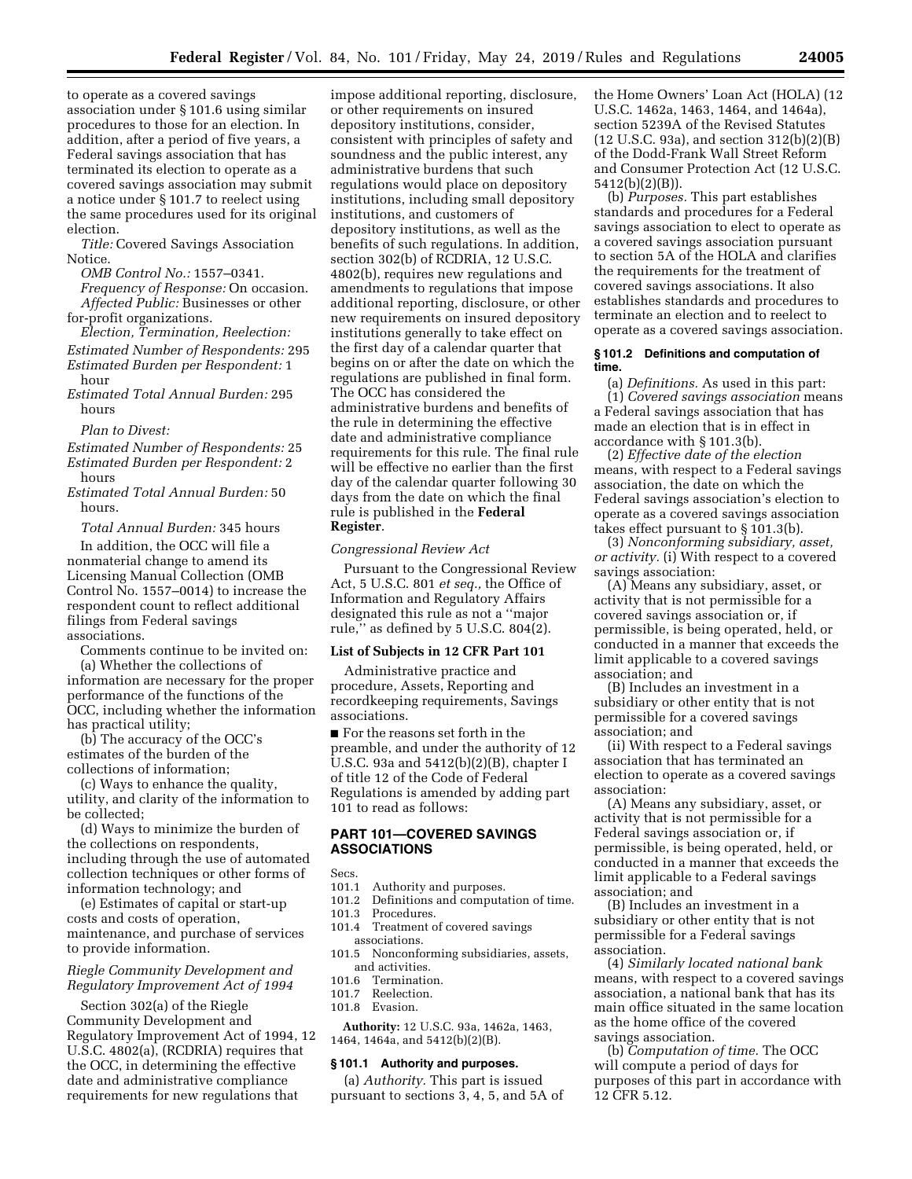to operate as a covered savings association under § 101.6 using similar procedures to those for an election. In addition, after a period of five years, a Federal savings association that has terminated its election to operate as a covered savings association may submit a notice under § 101.7 to reelect using the same procedures used for its original election.

*Title:* Covered Savings Association Notice.

*OMB Control No.:* 1557–0341. *Frequency of Response:* On occasion. *Affected Public:* Businesses or other for-profit organizations.

*Election, Termination, Reelection: Estimated Number of Respondents:* 295 *Estimated Burden per Respondent:* 1 hour

*Estimated Total Annual Burden:* 295 hours

*Plan to Divest:* 

*Estimated Number of Respondents:* 25

*Estimated Burden per Respondent:* 2 hours

*Estimated Total Annual Burden:* 50 hours.

*Total Annual Burden:* 345 hours

In addition, the OCC will file a nonmaterial change to amend its Licensing Manual Collection (OMB Control No. 1557–0014) to increase the respondent count to reflect additional filings from Federal savings associations.

Comments continue to be invited on:

(a) Whether the collections of information are necessary for the proper performance of the functions of the OCC, including whether the information has practical utility;

(b) The accuracy of the OCC's estimates of the burden of the collections of information;

(c) Ways to enhance the quality, utility, and clarity of the information to be collected;

(d) Ways to minimize the burden of the collections on respondents, including through the use of automated collection techniques or other forms of information technology; and

(e) Estimates of capital or start-up costs and costs of operation, maintenance, and purchase of services to provide information.

# *Riegle Community Development and Regulatory Improvement Act of 1994*

Section 302(a) of the Riegle Community Development and Regulatory Improvement Act of 1994, 12 U.S.C. 4802(a), (RCDRIA) requires that the OCC, in determining the effective date and administrative compliance requirements for new regulations that

impose additional reporting, disclosure, or other requirements on insured depository institutions, consider, consistent with principles of safety and soundness and the public interest, any administrative burdens that such regulations would place on depository institutions, including small depository institutions, and customers of depository institutions, as well as the benefits of such regulations. In addition, section 302(b) of RCDRIA, 12 U.S.C. 4802(b), requires new regulations and amendments to regulations that impose additional reporting, disclosure, or other new requirements on insured depository institutions generally to take effect on the first day of a calendar quarter that begins on or after the date on which the regulations are published in final form. The OCC has considered the administrative burdens and benefits of the rule in determining the effective date and administrative compliance requirements for this rule. The final rule will be effective no earlier than the first day of the calendar quarter following 30 days from the date on which the final rule is published in the **Federal Register**.

*Congressional Review Act* 

Pursuant to the Congressional Review Act, 5 U.S.C. 801 *et seq.,* the Office of Information and Regulatory Affairs designated this rule as not a ''major rule," as defined by  $5$  U.S.C. 804 $(2)$ .

#### **List of Subjects in 12 CFR Part 101**

Administrative practice and procedure, Assets, Reporting and recordkeeping requirements, Savings associations.

■ For the reasons set forth in the preamble, and under the authority of 12 U.S.C. 93a and 5412(b)(2)(B), chapter I of title 12 of the Code of Federal Regulations is amended by adding part 101 to read as follows:

# **PART 101—COVERED SAVINGS ASSOCIATIONS**

Secs.

- 101.1 Authority and purposes.<br>101.2 Definitions and computa
- Definitions and computation of time. 101.3 Procedures.
- 101.4 Treatment of covered savings associations.
- 101.5 Nonconforming subsidiaries, assets, and activities.
- 101.6 Termination.
- 101.7 Reelection.
- 101.8 Evasion.

**Authority:** 12 U.S.C. 93a, 1462a, 1463, 1464, 1464a, and 5412(b)(2)(B).

# **§ 101.1 Authority and purposes.**

(a) *Authority.* This part is issued pursuant to sections 3, 4, 5, and 5A of the Home Owners' Loan Act (HOLA) (12 U.S.C. 1462a, 1463, 1464, and 1464a), section 5239A of the Revised Statutes (12 U.S.C. 93a), and section 312(b)(2)(B) of the Dodd-Frank Wall Street Reform and Consumer Protection Act (12 U.S.C. 5412(b)(2)(B)).

(b) *Purposes.* This part establishes standards and procedures for a Federal savings association to elect to operate as a covered savings association pursuant to section 5A of the HOLA and clarifies the requirements for the treatment of covered savings associations. It also establishes standards and procedures to terminate an election and to reelect to operate as a covered savings association.

# **§ 101.2 Definitions and computation of time.**

(a) *Definitions.* As used in this part: (1) *Covered savings association* means a Federal savings association that has made an election that is in effect in accordance with § 101.3(b).

(2) *Effective date of the election*  means, with respect to a Federal savings association, the date on which the Federal savings association's election to operate as a covered savings association takes effect pursuant to § 101.3(b).

(3) *Nonconforming subsidiary, asset, or activity.* (i) With respect to a covered savings association:

(A) Means any subsidiary, asset, or activity that is not permissible for a covered savings association or, if permissible, is being operated, held, or conducted in a manner that exceeds the limit applicable to a covered savings association; and

(B) Includes an investment in a subsidiary or other entity that is not permissible for a covered savings association; and

(ii) With respect to a Federal savings association that has terminated an election to operate as a covered savings association:

(A) Means any subsidiary, asset, or activity that is not permissible for a Federal savings association or, if permissible, is being operated, held, or conducted in a manner that exceeds the limit applicable to a Federal savings association; and

(B) Includes an investment in a subsidiary or other entity that is not permissible for a Federal savings association.

(4) *Similarly located national bank*  means, with respect to a covered savings association, a national bank that has its main office situated in the same location as the home office of the covered savings association.

(b) *Computation of time.* The OCC will compute a period of days for purposes of this part in accordance with 12 CFR 5.12.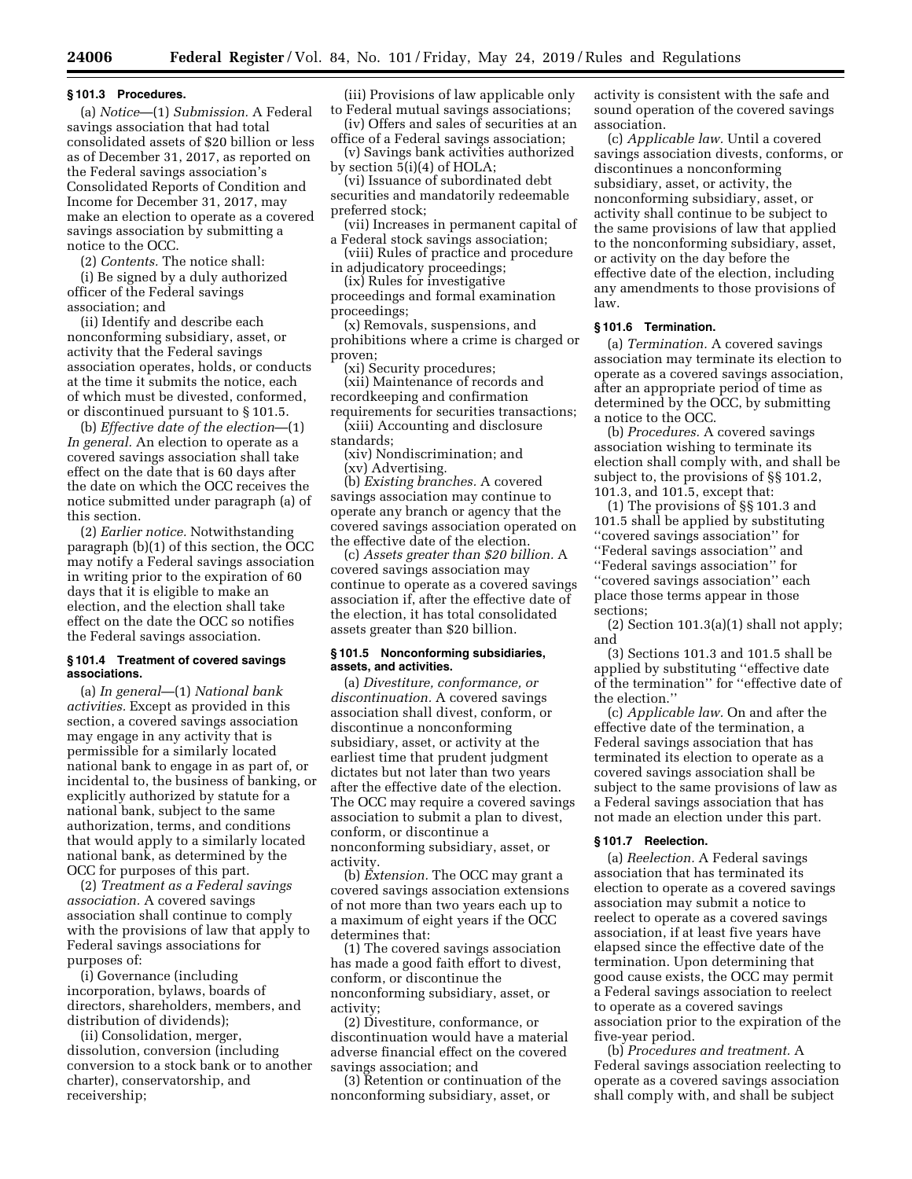#### **§ 101.3 Procedures.**

(a) *Notice*—(1) *Submission.* A Federal savings association that had total consolidated assets of \$20 billion or less as of December 31, 2017, as reported on the Federal savings association's Consolidated Reports of Condition and Income for December 31, 2017, may make an election to operate as a covered savings association by submitting a notice to the OCC.

(2) *Contents.* The notice shall:

(i) Be signed by a duly authorized officer of the Federal savings association; and

(ii) Identify and describe each nonconforming subsidiary, asset, or activity that the Federal savings association operates, holds, or conducts at the time it submits the notice, each of which must be divested, conformed, or discontinued pursuant to § 101.5.

(b) *Effective date of the election*—(1) *In general.* An election to operate as a covered savings association shall take effect on the date that is 60 days after the date on which the OCC receives the notice submitted under paragraph (a) of this section.

(2) *Earlier notice.* Notwithstanding paragraph (b)(1) of this section, the OCC may notify a Federal savings association in writing prior to the expiration of 60 days that it is eligible to make an election, and the election shall take effect on the date the OCC so notifies the Federal savings association.

#### **§ 101.4 Treatment of covered savings associations.**

(a) *In general*—(1) *National bank activities.* Except as provided in this section, a covered savings association may engage in any activity that is permissible for a similarly located national bank to engage in as part of, or incidental to, the business of banking, or explicitly authorized by statute for a national bank, subject to the same authorization, terms, and conditions that would apply to a similarly located national bank, as determined by the OCC for purposes of this part.

(2) *Treatment as a Federal savings association.* A covered savings association shall continue to comply with the provisions of law that apply to Federal savings associations for purposes of:

(i) Governance (including incorporation, bylaws, boards of directors, shareholders, members, and distribution of dividends);

(ii) Consolidation, merger, dissolution, conversion (including conversion to a stock bank or to another charter), conservatorship, and receivership;

(iii) Provisions of law applicable only to Federal mutual savings associations;

(iv) Offers and sales of securities at an office of a Federal savings association;

(v) Savings bank activities authorized by section 5(i)(4) of HOLA;

(vi) Issuance of subordinated debt securities and mandatorily redeemable preferred stock;

(vii) Increases in permanent capital of a Federal stock savings association;

(viii) Rules of practice and procedure in adjudicatory proceedings;

(ix) Rules for investigative proceedings and formal examination

proceedings; (x) Removals, suspensions, and prohibitions where a crime is charged or

proven; (xi) Security procedures;

(xii) Maintenance of records and recordkeeping and confirmation requirements for securities transactions;

(xiii) Accounting and disclosure standards;

(xiv) Nondiscrimination; and (xv) Advertising.

(b) *Existing branches.* A covered savings association may continue to operate any branch or agency that the covered savings association operated on the effective date of the election.

(c) *Assets greater than \$20 billion.* A covered savings association may continue to operate as a covered savings association if, after the effective date of the election, it has total consolidated assets greater than \$20 billion.

#### **§ 101.5 Nonconforming subsidiaries, assets, and activities.**

(a) *Divestiture, conformance, or discontinuation.* A covered savings association shall divest, conform, or discontinue a nonconforming subsidiary, asset, or activity at the earliest time that prudent judgment dictates but not later than two years after the effective date of the election. The OCC may require a covered savings association to submit a plan to divest, conform, or discontinue a nonconforming subsidiary, asset, or activity.

(b) *Extension.* The OCC may grant a covered savings association extensions of not more than two years each up to a maximum of eight years if the OCC determines that:

(1) The covered savings association has made a good faith effort to divest, conform, or discontinue the nonconforming subsidiary, asset, or activity;

(2) Divestiture, conformance, or discontinuation would have a material adverse financial effect on the covered savings association; and

(3) Retention or continuation of the nonconforming subsidiary, asset, or

activity is consistent with the safe and sound operation of the covered savings association.

(c) *Applicable law.* Until a covered savings association divests, conforms, or discontinues a nonconforming subsidiary, asset, or activity, the nonconforming subsidiary, asset, or activity shall continue to be subject to the same provisions of law that applied to the nonconforming subsidiary, asset, or activity on the day before the effective date of the election, including any amendments to those provisions of law.

# **§ 101.6 Termination.**

(a) *Termination.* A covered savings association may terminate its election to operate as a covered savings association, after an appropriate period of time as determined by the OCC, by submitting a notice to the OCC.

(b) *Procedures.* A covered savings association wishing to terminate its election shall comply with, and shall be subject to, the provisions of §§ 101.2, 101.3, and 101.5, except that:

(1) The provisions of §§ 101.3 and 101.5 shall be applied by substituting ''covered savings association'' for ''Federal savings association'' and ''Federal savings association'' for ''covered savings association'' each place those terms appear in those sections;

(2) Section  $101.3(a)(1)$  shall not apply; and

(3) Sections 101.3 and 101.5 shall be applied by substituting ''effective date of the termination'' for ''effective date of the election.''

(c) *Applicable law.* On and after the effective date of the termination, a Federal savings association that has terminated its election to operate as a covered savings association shall be subject to the same provisions of law as a Federal savings association that has not made an election under this part.

# **§ 101.7 Reelection.**

(a) *Reelection.* A Federal savings association that has terminated its election to operate as a covered savings association may submit a notice to reelect to operate as a covered savings association, if at least five years have elapsed since the effective date of the termination. Upon determining that good cause exists, the OCC may permit a Federal savings association to reelect to operate as a covered savings association prior to the expiration of the five-year period.

(b) *Procedures and treatment.* A Federal savings association reelecting to operate as a covered savings association shall comply with, and shall be subject